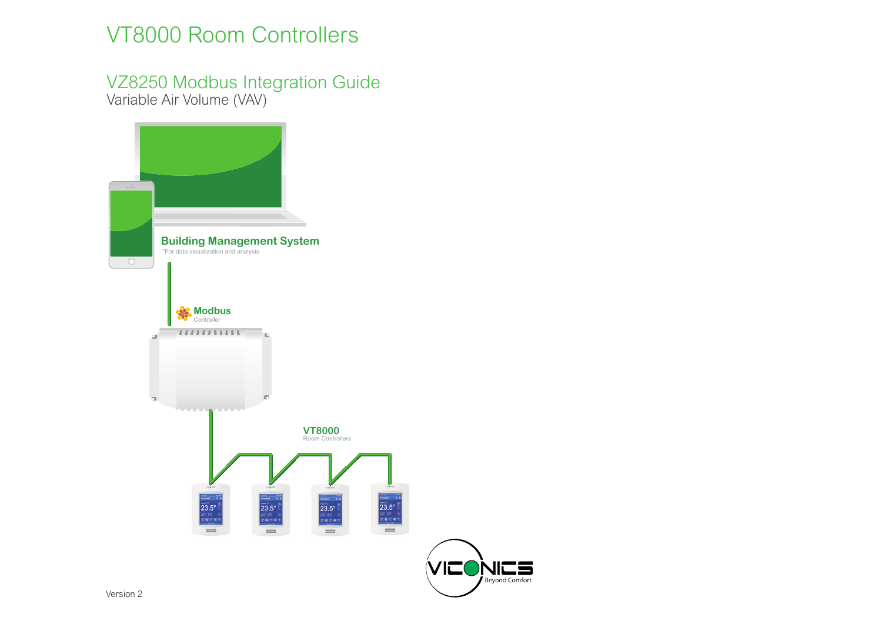# VT8000 Room Controllers

# VZ8250 Modbus Integration Guide Variable Air Volume (VAV)

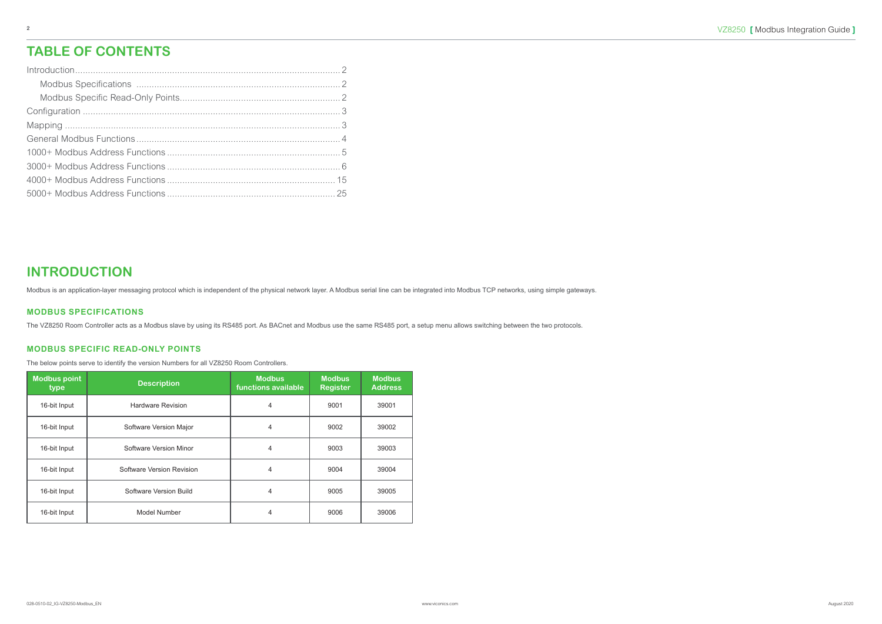#### **INTRODUCTION**

Modbus is an application-layer messaging protocol which is independent of the physical network layer. A Modbus serial line can be integrated into Modbus TCP networks, using simple gateways.

#### **MODBUS SPECIFICATIONS**

The VZ8250 Room Controller acts as a Modbus slave by using its RS485 port. As BACnet and Modbus use the same RS485 port, a setup menu allows switching between the two protocols.

#### **MODBUS SPECIFIC READ-ONLY POINTS**

The below points serve to identify the version Numbers for all VZ8250 Room Controllers.

| <b>Modbus point</b><br>type | <b>Description</b>        | <b>Modbus</b><br>functions available | <b>Modbus</b><br><b>Register</b> | <b>Modbus</b><br><b>Address</b> |
|-----------------------------|---------------------------|--------------------------------------|----------------------------------|---------------------------------|
| 16-bit Input                | <b>Hardware Revision</b>  | 4                                    | 9001                             | 39001                           |
| 16-bit Input                | Software Version Major    | 4                                    | 9002                             | 39002                           |
| 16-bit Input                | Software Version Minor    | 4                                    | 9003                             | 39003                           |
| 16-bit Input                | Software Version Revision | 4                                    | 9004                             | 39004                           |
| 16-bit Input                | Software Version Build    | 4                                    | 9005                             | 39005                           |
| 16-bit Input                | Model Number              | 4                                    | 9006                             | 39006                           |

### **TABLE OF CONTENTS**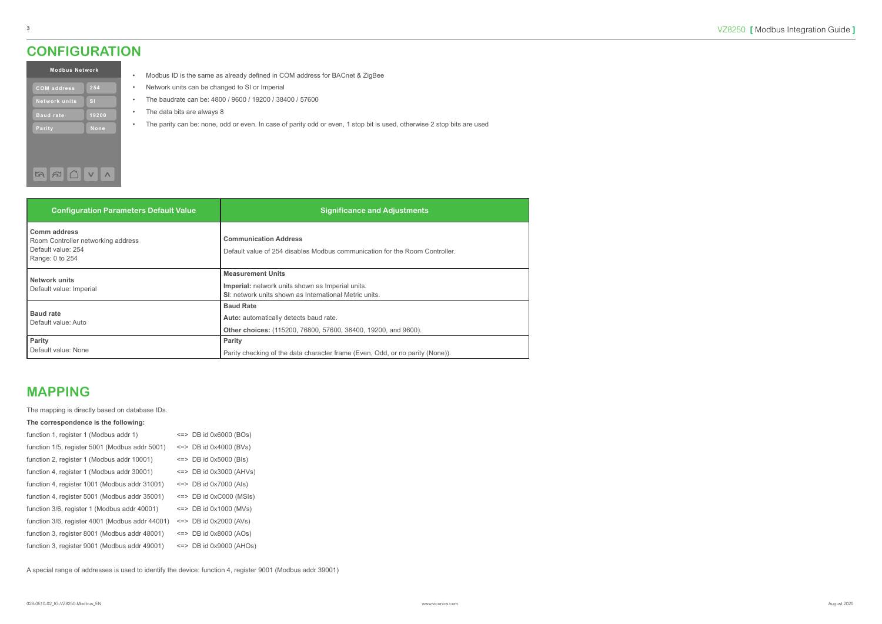#### **MAPPING**

| The mapping is directly based on database IDs.  |                              |
|-------------------------------------------------|------------------------------|
| The correspondence is the following:            |                              |
| function 1, register 1 (Modbus addr 1)          | $\le$ => DB id 0x6000 (BOs)  |
| function 1/5, register 5001 (Modbus addr 5001)  | $\le$ => DB id 0x4000 (BVs)  |
| function 2, register 1 (Modbus addr 10001)      | $\le$ => DB id 0x5000 (Bls)  |
| function 4, register 1 (Modbus addr 30001)      | $\le$ => DB id 0x3000 (AHVs) |
| function 4, register 1001 (Modbus addr 31001)   | $\le$ => DB id 0x7000 (Als)  |
| function 4, register 5001 (Modbus addr 35001)   | $\le$ => DB id 0xC000 (MSIs) |
| function 3/6, register 1 (Modbus addr 40001)    | $\le$ => DB id 0x1000 (MVs)  |
| function 3/6, register 4001 (Modbus addr 44001) | $\leq$ => DB id 0x2000 (AVs) |
| function 3, register 8001 (Modbus addr 48001)   | $\le$ => DB id 0x8000 (AOs)  |
| function 3, register 9001 (Modbus addr 49001)   | $\le$ => DB id 0x9000 (AHOs) |
|                                                 |                              |
|                                                 |                              |

A special range of addresses is used to identify the device: function 4, register 9001 (Modbus addr 39001)

| <b>Modbus Network</b> |              |  |  |  |  |  |  |  |  |
|-----------------------|--------------|--|--|--|--|--|--|--|--|
| <b>COM</b> address    | 254          |  |  |  |  |  |  |  |  |
| <b>Network units</b>  | $\mathbf{S}$ |  |  |  |  |  |  |  |  |
| <b>Baud rate</b>      | 19200        |  |  |  |  |  |  |  |  |
| <b>Parity</b>         | None         |  |  |  |  |  |  |  |  |
|                       |              |  |  |  |  |  |  |  |  |
|                       |              |  |  |  |  |  |  |  |  |

سعمد

- Modbus ID is the same as already defined in COM address for BACnet & ZigBee
- Network units can be changed to SI or Imperial
- The baudrate can be: 4800 / 9600 / 19200 / 38400 / 57600
- The data bits are always 8
- The parity can be: none, odd or even. In case of parity odd or even, 1 stop bit is used, otherwise 2 stop bits are used

| <b>Configuration Parameters Default Value</b>                                                      | <b>Significance and Adjustments</b>                                                                                                    |
|----------------------------------------------------------------------------------------------------|----------------------------------------------------------------------------------------------------------------------------------------|
| <b>Comm address</b><br>Room Controller networking address<br>Default value: 254<br>Range: 0 to 254 | <b>Communication Address</b><br>Default value of 254 disables Modbus communication for the Room Controller.                            |
| <b>Network units</b><br>Default value: Imperial                                                    | <b>Measurement Units</b><br>Imperial: network units shown as Imperial units.<br>SI: network units shown as International Metric units. |
| <b>Baud rate</b><br>Default value: Auto                                                            | <b>Baud Rate</b><br>Auto: automatically detects baud rate.<br>Other choices: (115200, 76800, 57600, 38400, 19200, and 9600).           |
| Parity<br>Default value: None                                                                      | Parity<br>Parity checking of the data character frame (Even, Odd, or no parity (None)).                                                |

#### <span id="page-2-0"></span>**CONFIGURATION**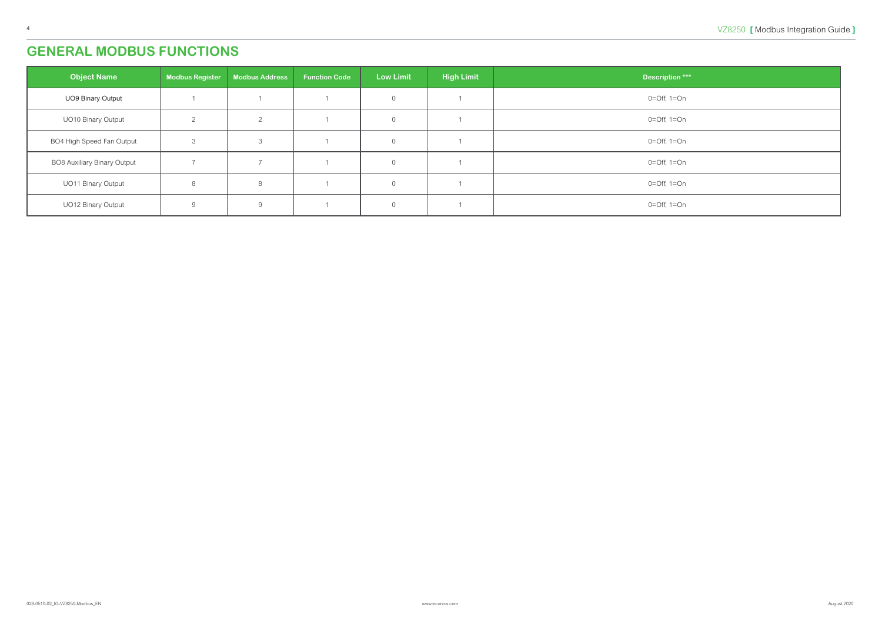## <span id="page-3-0"></span>**GENERAL MODBUS FUNCTIONS**

| <b>Object Name</b>                 | <b>Modbus Register</b> | <b>Modbus Address</b> | <b>Function Code</b> | <b>Low Limit</b> | <b>High Limit</b> | Description ***  |
|------------------------------------|------------------------|-----------------------|----------------------|------------------|-------------------|------------------|
| <b>UO9 Binary Output</b>           |                        |                       |                      | $\overline{0}$   |                   | $0=Off$ , $1=On$ |
| <b>UO10 Binary Output</b>          | $\Omega$               | 2                     |                      | $\Omega$         |                   | $0=Off$ , $1=On$ |
| BO4 High Speed Fan Output          | 3                      | $\Omega$<br>◡         |                      | $\overline{0}$   |                   | $0=Off$ , $1=On$ |
| <b>BO8 Auxiliary Binary Output</b> |                        |                       |                      | $\overline{0}$   |                   | $0=Off$ , $1=On$ |
| <b>UO11 Binary Output</b>          | 8                      | 8                     |                      | $\Omega$         |                   | $0=Off$ , $1=On$ |
| <b>UO12 Binary Output</b>          | 9                      | 9                     |                      | $\overline{0}$   |                   | $0=Off$ , $1=On$ |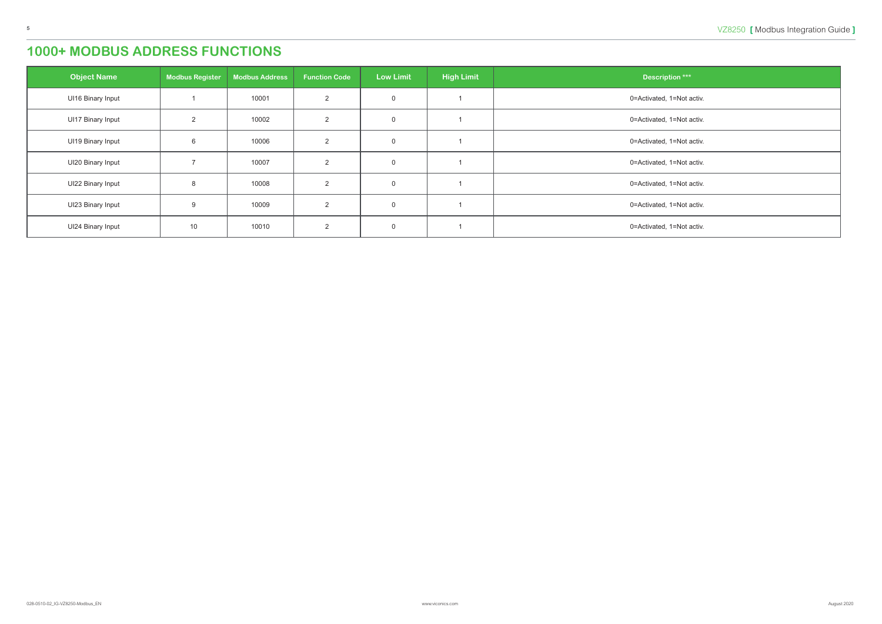<span id="page-4-0"></span>

| <b>Object Name</b>       | <b>Modbus Register</b> | <b>Modbus Address</b> | <b>Function Code</b> | <b>Low Limit</b> | <b>High Limit</b> | <b>Description ***</b>    |
|--------------------------|------------------------|-----------------------|----------------------|------------------|-------------------|---------------------------|
| UI16 Binary Input        |                        | 10001                 | 2                    | $\overline{0}$   |                   | 0=Activated, 1=Not activ. |
| <b>UI17 Binary Input</b> | 2                      | 10002                 | 2                    | $\overline{0}$   |                   | 0=Activated, 1=Not activ. |
| UI19 Binary Input        | 6                      | 10006                 | $\mathcal{P}$        | $\overline{0}$   |                   | 0=Activated, 1=Not activ. |
| UI20 Binary Input        |                        | 10007                 | 2                    | $\overline{0}$   |                   | 0=Activated, 1=Not activ. |
| <b>UI22 Binary Input</b> | 8                      | 10008                 | 2                    | $\overline{0}$   |                   | 0=Activated, 1=Not activ. |
| UI23 Binary Input        | 9                      | 10009                 | $\mathcal{P}$        | $\overline{0}$   |                   | 0=Activated, 1=Not activ. |
| UI24 Binary Input        | 10                     | 10010                 | 2                    | $\overline{0}$   |                   | 0=Activated, 1=Not activ. |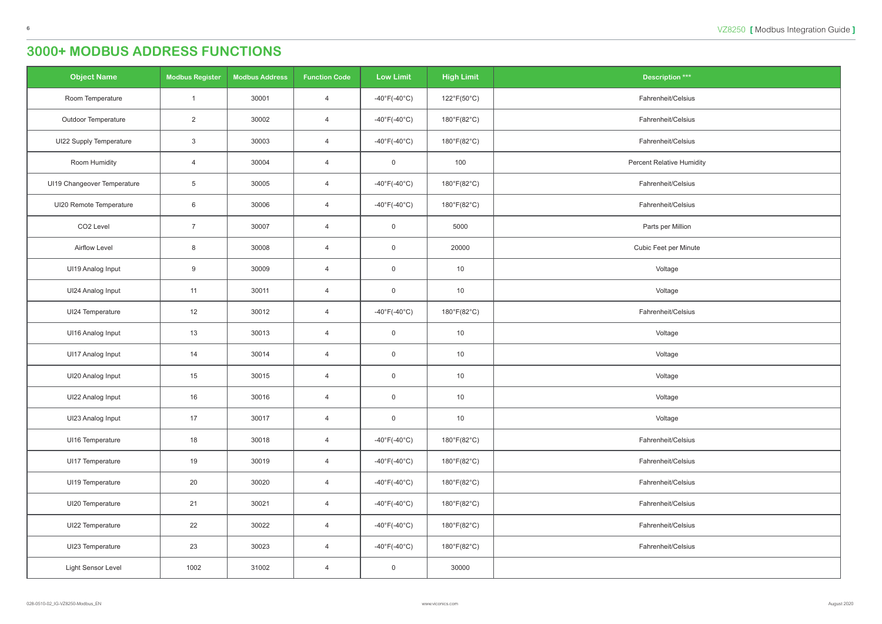<span id="page-5-0"></span>

| <b>Object Name</b>          | <b>Modbus Register</b> | <b>Modbus Address</b> | <b>Function Code</b> | <b>Low Limit</b>                  | <b>High Limit</b> | <b>Description ***</b>           |
|-----------------------------|------------------------|-----------------------|----------------------|-----------------------------------|-------------------|----------------------------------|
| Room Temperature            | $\overline{1}$         | 30001                 | $\overline{4}$       | $-40^{\circ}$ F(-40 $^{\circ}$ C) | 122°F(50°C)       | Fahrenheit/Celsius               |
| <b>Outdoor Temperature</b>  | $\overline{2}$         | 30002                 | $\overline{4}$       | $-40^{\circ}F(-40^{\circ}C)$      | 180°F(82°C)       | Fahrenheit/Celsius               |
| UI22 Supply Temperature     | $\mathbf{3}$           | 30003                 | $\overline{4}$       | -40 $\degree$ F(-40 $\degree$ C)  | 180°F(82°C)       | Fahrenheit/Celsius               |
| Room Humidity               | $\overline{4}$         | 30004                 | $\overline{4}$       | $\overline{0}$                    | 100               | <b>Percent Relative Humidity</b> |
| UI19 Changeover Temperature | $\overline{5}$         | 30005                 | $\overline{4}$       | -40 $\degree$ F(-40 $\degree$ C)  | 180°F(82°C)       | Fahrenheit/Celsius               |
| UI20 Remote Temperature     | 6                      | 30006                 | $\overline{4}$       | $-40^{\circ}F(-40^{\circ}C)$      | 180°F(82°C)       | Fahrenheit/Celsius               |
| CO <sub>2</sub> Level       | $\overline{7}$         | 30007                 | $\overline{4}$       | $\overline{0}$                    | 5000              | Parts per Million                |
| Airflow Level               | 8                      | 30008                 | $\overline{4}$       | $\overline{0}$                    | 20000             | Cubic Feet per Minute            |
| UI19 Analog Input           | 9                      | 30009                 | $\overline{4}$       | $\overline{0}$                    | 10                | Voltage                          |
| UI24 Analog Input           | 11                     | 30011                 | $\overline{4}$       | $\overline{0}$                    | 10                | Voltage                          |
| UI24 Temperature            | 12                     | 30012                 | $\overline{4}$       | $-40^{\circ}F(-40^{\circ}C)$      | 180°F(82°C)       | Fahrenheit/Celsius               |
| UI16 Analog Input           | 13                     | 30013                 | $\overline{4}$       | $\overline{0}$                    | 10                | Voltage                          |
| UI17 Analog Input           | 14                     | 30014                 | $\overline{4}$       | $\overline{0}$                    | 10                | Voltage                          |
| UI20 Analog Input           | 15                     | 30015                 | $\overline{4}$       | $\overline{0}$                    | 10                | Voltage                          |
| UI22 Analog Input           | 16                     | 30016                 | $\overline{4}$       | $\overline{0}$                    | 10                | Voltage                          |
| UI23 Analog Input           | 17                     | 30017                 | $\overline{4}$       | $\overline{0}$                    | 10                | Voltage                          |
| UI16 Temperature            | 18                     | 30018                 | $\overline{4}$       | -40 $\degree$ F(-40 $\degree$ C)  | 180°F(82°C)       | Fahrenheit/Celsius               |
| UI17 Temperature            | 19                     | 30019                 | $\overline{4}$       | -40 $\degree$ F(-40 $\degree$ C)  | 180°F(82°C)       | Fahrenheit/Celsius               |
| UI19 Temperature            | 20                     | 30020                 | $\overline{4}$       | -40 $\degree$ F(-40 $\degree$ C)  | 180°F(82°C)       | Fahrenheit/Celsius               |
| UI20 Temperature            | 21                     | 30021                 | $\overline{4}$       | -40 $\degree$ F(-40 $\degree$ C)  | 180°F(82°C)       | Fahrenheit/Celsius               |
| UI22 Temperature            | 22                     | 30022                 | $\overline{4}$       | -40 $\degree$ F(-40 $\degree$ C)  | 180°F(82°C)       | Fahrenheit/Celsius               |
| UI23 Temperature            | 23                     | 30023                 | $\overline{4}$       | -40 $\degree$ F(-40 $\degree$ C)  | 180°F(82°C)       | Fahrenheit/Celsius               |
| Light Sensor Level          | 1002                   | 31002                 | $\overline{4}$       | $\overline{0}$                    | 30000             |                                  |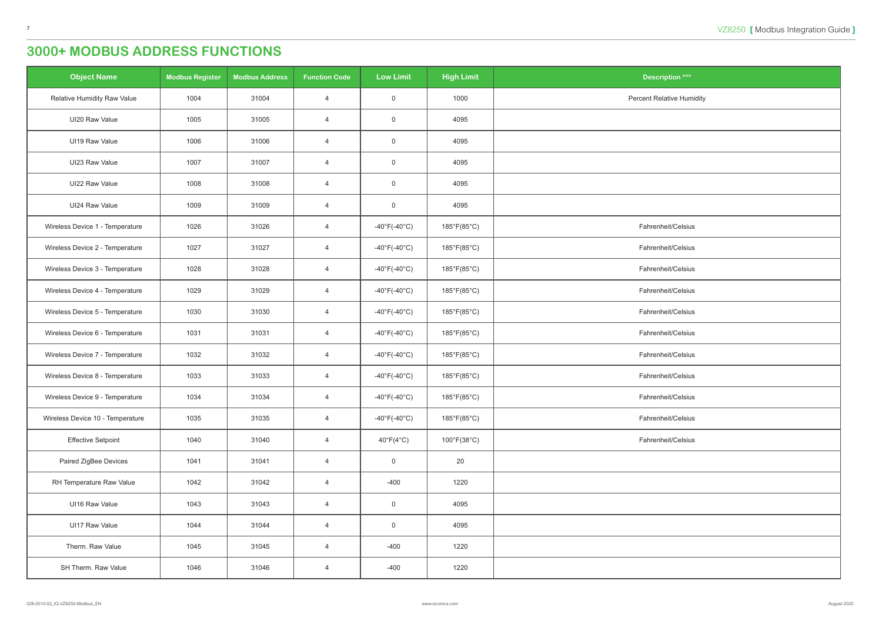| <b>Object Name</b>                 | <b>Modbus Register</b> | <b>Modbus Address</b> | <b>Function Code</b> | <b>Low Limit</b>                  | <b>High Limit</b>           | <b>Description ***</b>           |
|------------------------------------|------------------------|-----------------------|----------------------|-----------------------------------|-----------------------------|----------------------------------|
| <b>Relative Humidity Raw Value</b> | 1004                   | 31004                 | $\overline{4}$       | $\overline{0}$                    | 1000                        | <b>Percent Relative Humidity</b> |
| UI20 Raw Value                     | 1005                   | 31005                 | $\overline{4}$       | $\mathsf 0$                       | 4095                        |                                  |
| UI19 Raw Value                     | 1006                   | 31006                 | $\overline{4}$       | $\mathsf 0$                       | 4095                        |                                  |
| UI23 Raw Value                     | 1007                   | 31007                 | $\overline{4}$       | $\mathsf 0$                       | 4095                        |                                  |
| UI22 Raw Value                     | 1008                   | 31008                 | $\overline{4}$       | $\overline{0}$                    | 4095                        |                                  |
| UI24 Raw Value                     | 1009                   | 31009                 | $\overline{4}$       | $\overline{0}$                    | 4095                        |                                  |
| Wireless Device 1 - Temperature    | 1026                   | 31026                 | $\overline{4}$       | $-40^{\circ}$ F(-40 $^{\circ}$ C) | 185°F(85°C)                 | Fahrenheit/Celsius               |
| Wireless Device 2 - Temperature    | 1027                   | 31027                 | $\overline{4}$       | -40 $\degree$ F(-40 $\degree$ C)  | $185^{\circ}F(85^{\circ}C)$ | Fahrenheit/Celsius               |
| Wireless Device 3 - Temperature    | 1028                   | 31028                 | $\overline{4}$       | $-40^{\circ}$ F(-40 $^{\circ}$ C) | 185°F(85°C)                 | Fahrenheit/Celsius               |
| Wireless Device 4 - Temperature    | 1029                   | 31029                 | $\overline{4}$       | -40°F(-40°C)                      | $185^{\circ}F(85^{\circ}C)$ | Fahrenheit/Celsius               |
| Wireless Device 5 - Temperature    | 1030                   | 31030                 | $\overline{4}$       | -40°F(-40°C)                      | 185°F(85°C)                 | Fahrenheit/Celsius               |
| Wireless Device 6 - Temperature    | 1031                   | 31031                 | $\overline{4}$       | $-40^{\circ}$ F(-40 $^{\circ}$ C) | 185°F(85°C)                 | Fahrenheit/Celsius               |
| Wireless Device 7 - Temperature    | 1032                   | 31032                 | $\overline{4}$       | -40 $\degree$ F(-40 $\degree$ C)  | 185°F(85°C)                 | Fahrenheit/Celsius               |
| Wireless Device 8 - Temperature    | 1033                   | 31033                 | $\overline{4}$       | $-40^{\circ}$ F(-40 $^{\circ}$ C) | 185°F(85°C)                 | Fahrenheit/Celsius               |
| Wireless Device 9 - Temperature    | 1034                   | 31034                 | $\overline{4}$       | -40°F(-40°C)                      | 185°F(85°C)                 | Fahrenheit/Celsius               |
| Wireless Device 10 - Temperature   | 1035                   | 31035                 | $\overline{4}$       | -40 $\degree$ F(-40 $\degree$ C)  | 185°F(85°C)                 | Fahrenheit/Celsius               |
| <b>Effective Setpoint</b>          | 1040                   | 31040                 | $\overline{4}$       | $40^{\circ}F(4^{\circ}C)$         | 100°F(38°C)                 | Fahrenheit/Celsius               |
| Paired ZigBee Devices              | 1041                   | 31041                 | $\overline{4}$       | $\overline{0}$                    | 20                          |                                  |
| RH Temperature Raw Value           | 1042                   | 31042                 | $\overline{4}$       | $-400$                            | 1220                        |                                  |
| UI16 Raw Value                     | 1043                   | 31043                 | $\overline{4}$       | $\overline{0}$                    | 4095                        |                                  |
| UI17 Raw Value                     | 1044                   | 31044                 | $\overline{4}$       | $\overline{0}$                    | 4095                        |                                  |
| Therm. Raw Value                   | 1045                   | 31045                 | $\overline{4}$       | $-400$                            | 1220                        |                                  |
| SH Therm. Raw Value                | 1046                   | 31046                 | $\overline{4}$       | $-400$                            | 1220                        |                                  |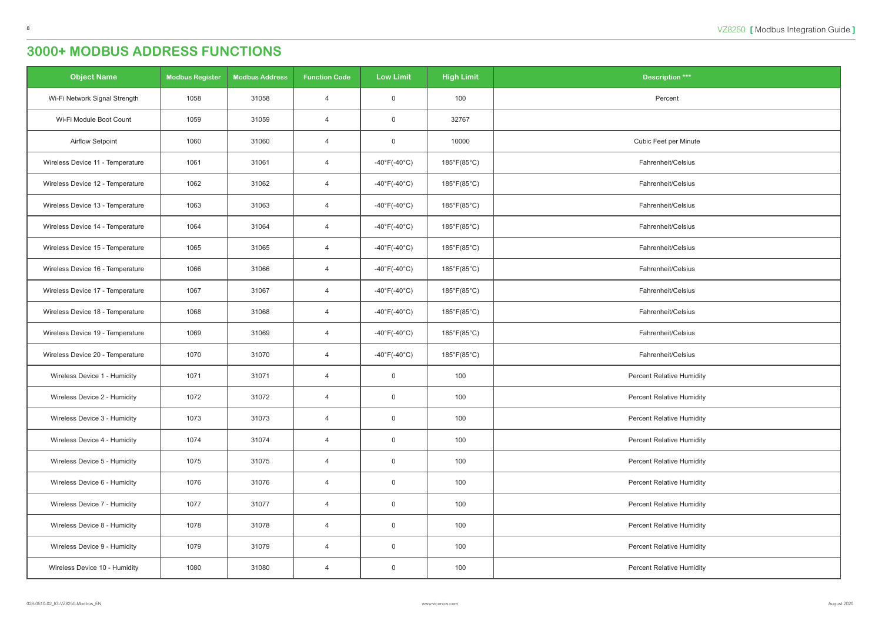| <b>Object Name</b>               | <b>Modbus Register</b> | <b>Modbus Address</b> | <b>Function Code</b> | <b>Low Limit</b>                  | <b>High Limit</b> | <b>Description ***</b>           |
|----------------------------------|------------------------|-----------------------|----------------------|-----------------------------------|-------------------|----------------------------------|
| Wi-Fi Network Signal Strength    | 1058                   | 31058                 | $\overline{4}$       | $\overline{0}$                    | 100               | Percent                          |
| Wi-Fi Module Boot Count          | 1059                   | 31059                 | $\overline{4}$       | $\mathbf 0$                       | 32767             |                                  |
| Airflow Setpoint                 | 1060                   | 31060                 | $\overline{4}$       | $\overline{0}$                    | 10000             | Cubic Feet per Minute            |
| Wireless Device 11 - Temperature | 1061                   | 31061                 | $\overline{4}$       | $-40^{\circ}$ F( $-40^{\circ}$ C) | 185°F(85°C)       | Fahrenheit/Celsius               |
| Wireless Device 12 - Temperature | 1062                   | 31062                 | $\overline{4}$       | $-40^{\circ}$ F(-40 $^{\circ}$ C) | 185°F(85°C)       | Fahrenheit/Celsius               |
| Wireless Device 13 - Temperature | 1063                   | 31063                 | $\overline{4}$       | $-40^{\circ}$ F( $-40^{\circ}$ C) | 185°F(85°C)       | Fahrenheit/Celsius               |
| Wireless Device 14 - Temperature | 1064                   | 31064                 | $\overline{4}$       | $-40^{\circ}$ F(-40 $^{\circ}$ C) | 185°F(85°C)       | Fahrenheit/Celsius               |
| Wireless Device 15 - Temperature | 1065                   | 31065                 | $\overline{4}$       | $-40^{\circ}$ F( $-40^{\circ}$ C) | 185°F(85°C)       | Fahrenheit/Celsius               |
| Wireless Device 16 - Temperature | 1066                   | 31066                 | $\overline{4}$       | $-40^{\circ}$ F( $-40^{\circ}$ C) | 185°F(85°C)       | Fahrenheit/Celsius               |
| Wireless Device 17 - Temperature | 1067                   | 31067                 | $\overline{4}$       | $-40^{\circ}$ F(-40 $^{\circ}$ C) | 185°F(85°C)       | Fahrenheit/Celsius               |
| Wireless Device 18 - Temperature | 1068                   | 31068                 | $\overline{4}$       | $-40^{\circ}$ F( $-40^{\circ}$ C) | 185°F(85°C)       | Fahrenheit/Celsius               |
| Wireless Device 19 - Temperature | 1069                   | 31069                 | $\overline{4}$       | $-40^{\circ}$ F(-40 $^{\circ}$ C) | 185°F(85°C)       | Fahrenheit/Celsius               |
| Wireless Device 20 - Temperature | 1070                   | 31070                 | $\overline{4}$       | $-40^{\circ}$ F( $-40^{\circ}$ C) | 185°F(85°C)       | Fahrenheit/Celsius               |
| Wireless Device 1 - Humidity     | 1071                   | 31071                 | $\overline{4}$       | $\overline{0}$                    | 100               | <b>Percent Relative Humidity</b> |
| Wireless Device 2 - Humidity     | 1072                   | 31072                 | $\overline{4}$       | $\overline{0}$                    | 100               | <b>Percent Relative Humidity</b> |
| Wireless Device 3 - Humidity     | 1073                   | 31073                 | $\overline{4}$       | $\overline{0}$                    | 100               | <b>Percent Relative Humidity</b> |
| Wireless Device 4 - Humidity     | 1074                   | 31074                 | $\overline{4}$       | $\overline{0}$                    | 100               | <b>Percent Relative Humidity</b> |
| Wireless Device 5 - Humidity     | 1075                   | 31075                 | $\overline{4}$       | $\overline{0}$                    | 100               | <b>Percent Relative Humidity</b> |
| Wireless Device 6 - Humidity     | 1076                   | 31076                 | $\overline{4}$       | $\overline{0}$                    | 100               | <b>Percent Relative Humidity</b> |
| Wireless Device 7 - Humidity     | 1077                   | 31077                 | $\overline{4}$       | $\overline{0}$                    | 100               | <b>Percent Relative Humidity</b> |
| Wireless Device 8 - Humidity     | 1078                   | 31078                 | $\overline{4}$       | $\overline{0}$                    | 100               | <b>Percent Relative Humidity</b> |
| Wireless Device 9 - Humidity     | 1079                   | 31079                 | $\overline{4}$       | $\overline{0}$                    | 100               | <b>Percent Relative Humidity</b> |
| Wireless Device 10 - Humidity    | 1080                   | 31080                 | $\overline{4}$       | $\overline{0}$                    | 100               | <b>Percent Relative Humidity</b> |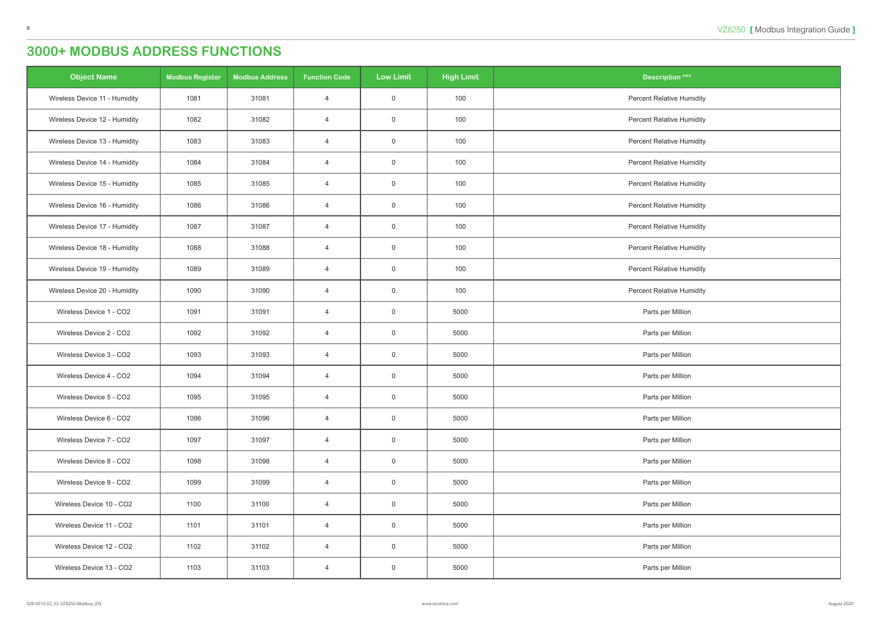| <b>Object Name</b>            | <b>Modbus Register</b> | <b>Modbus Address</b> | <b>Function Code</b> | <b>Low Limit</b> | <b>High Limit</b> | <b>Description ***</b>           |
|-------------------------------|------------------------|-----------------------|----------------------|------------------|-------------------|----------------------------------|
| Wireless Device 11 - Humidity | 1081                   | 31081                 | $\overline{4}$       | $\overline{0}$   | 100               | <b>Percent Relative Humidity</b> |
| Wireless Device 12 - Humidity | 1082                   | 31082                 | $\overline{4}$       | $\overline{0}$   | 100               | <b>Percent Relative Humidity</b> |
| Wireless Device 13 - Humidity | 1083                   | 31083                 | $\overline{4}$       | $\overline{0}$   | 100               | <b>Percent Relative Humidity</b> |
| Wireless Device 14 - Humidity | 1084                   | 31084                 | $\overline{4}$       | $\overline{0}$   | 100               | <b>Percent Relative Humidity</b> |
| Wireless Device 15 - Humidity | 1085                   | 31085                 | $\overline{4}$       | $\mathsf 0$      | 100               | <b>Percent Relative Humidity</b> |
| Wireless Device 16 - Humidity | 1086                   | 31086                 | $\overline{4}$       | $\overline{0}$   | 100               | <b>Percent Relative Humidity</b> |
| Wireless Device 17 - Humidity | 1087                   | 31087                 | $\overline{4}$       | $\mathsf 0$      | 100               | <b>Percent Relative Humidity</b> |
| Wireless Device 18 - Humidity | 1088                   | 31088                 | $\overline{4}$       | $\overline{0}$   | 100               | <b>Percent Relative Humidity</b> |
| Wireless Device 19 - Humidity | 1089                   | 31089                 | $\overline{4}$       | $\overline{0}$   | 100               | <b>Percent Relative Humidity</b> |
| Wireless Device 20 - Humidity | 1090                   | 31090                 | $\overline{4}$       | $\overline{0}$   | 100               | <b>Percent Relative Humidity</b> |
| Wireless Device 1 - CO2       | 1091                   | 31091                 | $\overline{4}$       | $\overline{0}$   | 5000              | Parts per Million                |
| Wireless Device 2 - CO2       | 1092                   | 31092                 | $\overline{4}$       | $\mathsf 0$      | 5000              | Parts per Million                |
| Wireless Device 3 - CO2       | 1093                   | 31093                 | $\overline{4}$       | $\overline{0}$   | 5000              | Parts per Million                |
| Wireless Device 4 - CO2       | 1094                   | 31094                 | $\overline{4}$       | $\overline{0}$   | 5000              | Parts per Million                |
| Wireless Device 5 - CO2       | 1095                   | 31095                 | 4                    | $\overline{0}$   | 5000              | Parts per Million                |
| Wireless Device 6 - CO2       | 1096                   | 31096                 | $\overline{4}$       | $\overline{0}$   | 5000              | Parts per Million                |
| Wireless Device 7 - CO2       | 1097                   | 31097                 | $\overline{4}$       | $\mathsf 0$      | 5000              | Parts per Million                |
| Wireless Device 8 - CO2       | 1098                   | 31098                 | $\overline{4}$       | $\overline{0}$   | 5000              | Parts per Million                |
| Wireless Device 9 - CO2       | 1099                   | 31099                 | $\overline{4}$       | $\overline{0}$   | 5000              | Parts per Million                |
| Wireless Device 10 - CO2      | 1100                   | 31100                 | $\overline{4}$       | $\overline{0}$   | 5000              | Parts per Million                |
| Wireless Device 11 - CO2      | 1101                   | 31101                 | $\overline{4}$       | $\mathsf 0$      | 5000              | Parts per Million                |
| Wireless Device 12 - CO2      | 1102                   | 31102                 | $\overline{4}$       | $\mathsf 0$      | 5000              | Parts per Million                |
| Wireless Device 13 - CO2      | 1103                   | 31103                 | $\overline{4}$       | $\overline{0}$   | 5000              | Parts per Million                |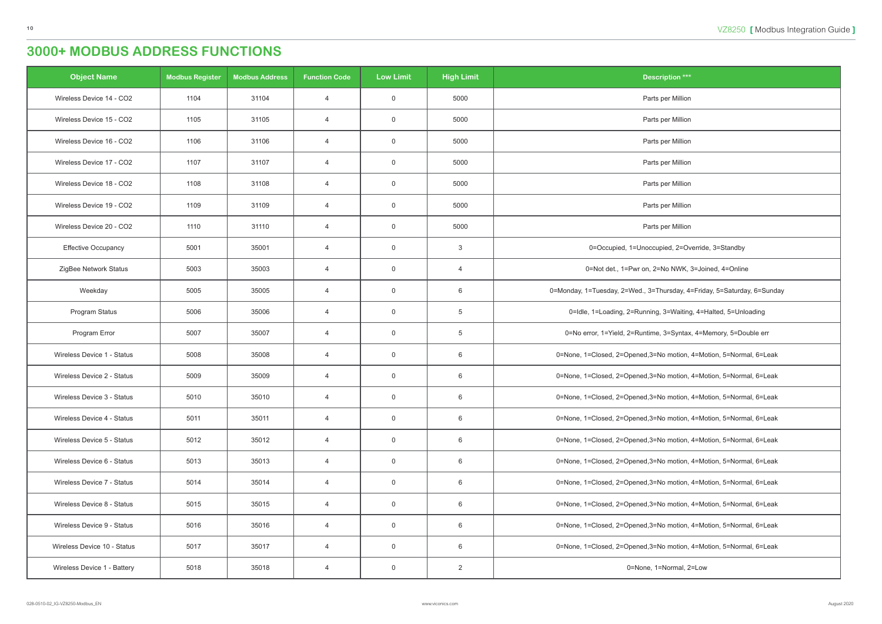| <b>Object Name</b>          | <b>Modbus Register</b> | <b>Modbus Address</b> | <b>Function Code</b> | Low Limit      | <b>High Limit</b> | <b>Description ***</b>                                                  |
|-----------------------------|------------------------|-----------------------|----------------------|----------------|-------------------|-------------------------------------------------------------------------|
| Wireless Device 14 - CO2    | 1104                   | 31104                 | $\overline{4}$       | $\overline{0}$ | 5000              | Parts per Million                                                       |
| Wireless Device 15 - CO2    | 1105                   | 31105                 | $\overline{4}$       | $\overline{0}$ | 5000              | Parts per Million                                                       |
| Wireless Device 16 - CO2    | 1106                   | 31106                 | $\overline{4}$       | $\overline{0}$ | 5000              | Parts per Million                                                       |
| Wireless Device 17 - CO2    | 1107                   | 31107                 | $\overline{4}$       | $\overline{0}$ | 5000              | Parts per Million                                                       |
| Wireless Device 18 - CO2    | 1108                   | 31108                 | $\overline{4}$       | $\overline{0}$ | 5000              | Parts per Million                                                       |
| Wireless Device 19 - CO2    | 1109                   | 31109                 | $\overline{4}$       | $\overline{0}$ | 5000              | Parts per Million                                                       |
| Wireless Device 20 - CO2    | 1110                   | 31110                 | $\overline{4}$       | $\overline{0}$ | 5000              | Parts per Million                                                       |
| <b>Effective Occupancy</b>  | 5001                   | 35001                 | $\overline{4}$       | $\overline{0}$ | 3                 | 0=Occupied, 1=Unoccupied, 2=Override, 3=Standby                         |
| ZigBee Network Status       | 5003                   | 35003                 | $\overline{4}$       | $\overline{0}$ | $\overline{4}$    | 0=Not det., 1=Pwr on, 2=No NWK, 3=Joined, 4=Online                      |
| Weekday                     | 5005                   | 35005                 | $\overline{4}$       | $\overline{0}$ | 6                 | 0=Monday, 1=Tuesday, 2=Wed., 3=Thursday, 4=Friday, 5=Saturday, 6=Sunday |
| Program Status              | 5006                   | 35006                 | $\overline{4}$       | $\overline{0}$ | 5                 | 0=Idle, 1=Loading, 2=Running, 3=Waiting, 4=Halted, 5=Unloading          |
| Program Error               | 5007                   | 35007                 | $\overline{4}$       | $\overline{0}$ | 5                 | 0=No error, 1=Yield, 2=Runtime, 3=Syntax, 4=Memory, 5=Double err        |
| Wireless Device 1 - Status  | 5008                   | 35008                 | $\overline{4}$       | $\overline{0}$ | 6                 | 0=None, 1=Closed, 2=Opened, 3=No motion, 4=Motion, 5=Normal, 6=Leak     |
| Wireless Device 2 - Status  | 5009                   | 35009                 | $\overline{4}$       | $\overline{0}$ | 6                 | 0=None, 1=Closed, 2=Opened, 3=No motion, 4=Motion, 5=Normal, 6=Leak     |
| Wireless Device 3 - Status  | 5010                   | 35010                 | 4                    | $\overline{0}$ | 6                 | 0=None, 1=Closed, 2=Opened, 3=No motion, 4=Motion, 5=Normal, 6=Leak     |
| Wireless Device 4 - Status  | 5011                   | 35011                 | $\overline{4}$       | $\overline{0}$ | 6                 | 0=None, 1=Closed, 2=Opened, 3=No motion, 4=Motion, 5=Normal, 6=Leak     |
| Wireless Device 5 - Status  | 5012                   | 35012                 | 4                    | $\overline{0}$ | 6                 | 0=None, 1=Closed, 2=Opened, 3=No motion, 4=Motion, 5=Normal, 6=Leak     |
| Wireless Device 6 - Status  | 5013                   | 35013                 | $\overline{4}$       | $\overline{0}$ | 6                 | 0=None, 1=Closed, 2=Opened, 3=No motion, 4=Motion, 5=Normal, 6=Leak     |
| Wireless Device 7 - Status  | 5014                   | 35014                 | $\overline{4}$       | $\overline{0}$ | 6                 | 0=None, 1=Closed, 2=Opened, 3=No motion, 4=Motion, 5=Normal, 6=Leak     |
| Wireless Device 8 - Status  | 5015                   | 35015                 | 4                    | $\overline{0}$ | 6                 | 0=None, 1=Closed, 2=Opened, 3=No motion, 4=Motion, 5=Normal, 6=Leak     |
| Wireless Device 9 - Status  | 5016                   | 35016                 | $\overline{4}$       | $\overline{0}$ | 6                 | 0=None, 1=Closed, 2=Opened, 3=No motion, 4=Motion, 5=Normal, 6=Leak     |
| Wireless Device 10 - Status | 5017                   | 35017                 | 4                    | $\overline{0}$ | 6                 | 0=None, 1=Closed, 2=Opened, 3=No motion, 4=Motion, 5=Normal, 6=Leak     |
| Wireless Device 1 - Battery | 5018                   | 35018                 | 4                    | $\overline{0}$ | $\overline{2}$    | 0=None, 1=Normal, 2=Low                                                 |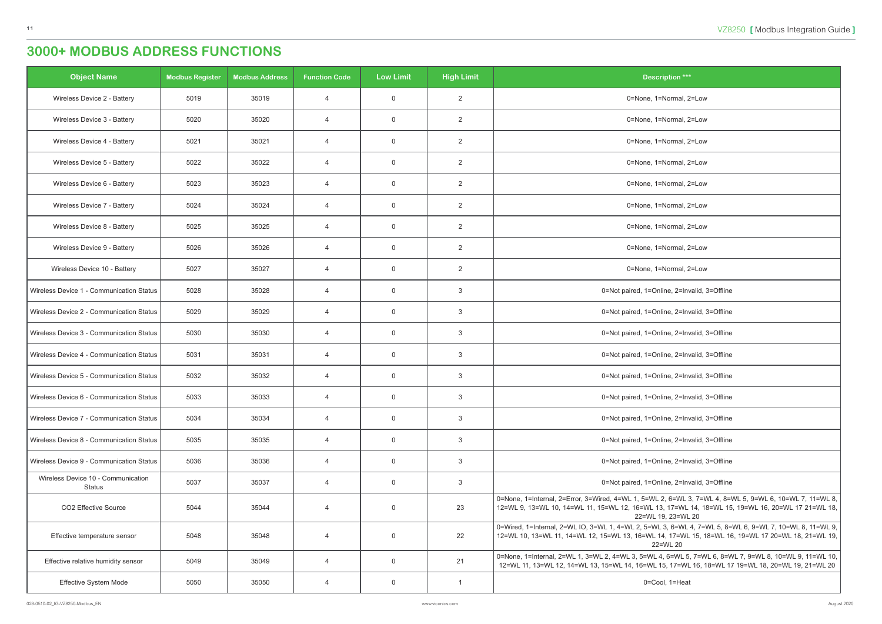| <b>Object Name</b>                           | <b>Modbus Register</b> | <b>Modbus Address</b> | <b>Function Code</b> | <b>Low Limit</b> | <b>High Limit</b> | <b>Description ***</b>                                                                                                                                                                                                             |
|----------------------------------------------|------------------------|-----------------------|----------------------|------------------|-------------------|------------------------------------------------------------------------------------------------------------------------------------------------------------------------------------------------------------------------------------|
| Wireless Device 2 - Battery                  | 5019                   | 35019                 | $\overline{4}$       | $\overline{0}$   | 2                 | 0=None, 1=Normal, 2=Low                                                                                                                                                                                                            |
| Wireless Device 3 - Battery                  | 5020                   | 35020                 | $\overline{4}$       | $\overline{0}$   | $\overline{2}$    | 0=None, 1=Normal, 2=Low                                                                                                                                                                                                            |
| Wireless Device 4 - Battery                  | 5021                   | 35021                 | $\overline{4}$       | $\overline{0}$   | $\overline{2}$    | 0=None, 1=Normal, 2=Low                                                                                                                                                                                                            |
| Wireless Device 5 - Battery                  | 5022                   | 35022                 | $\overline{4}$       | 0                | $\overline{2}$    | 0=None, 1=Normal, 2=Low                                                                                                                                                                                                            |
| Wireless Device 6 - Battery                  | 5023                   | 35023                 | $\overline{4}$       | $\overline{0}$   | $\overline{2}$    | 0=None, 1=Normal, 2=Low                                                                                                                                                                                                            |
| Wireless Device 7 - Battery                  | 5024                   | 35024                 | $\overline{4}$       | $\overline{0}$   | $\overline{2}$    | 0=None, 1=Normal, 2=Low                                                                                                                                                                                                            |
| Wireless Device 8 - Battery                  | 5025                   | 35025                 | $\overline{4}$       | $\mathbf 0$      | $\overline{2}$    | 0=None, 1=Normal, 2=Low                                                                                                                                                                                                            |
| Wireless Device 9 - Battery                  | 5026                   | 35026                 | $\overline{4}$       | $\overline{0}$   | $\overline{2}$    | 0=None, 1=Normal, 2=Low                                                                                                                                                                                                            |
| Wireless Device 10 - Battery                 | 5027                   | 35027                 | $\overline{4}$       | 0                | $\overline{2}$    | 0=None, 1=Normal, 2=Low                                                                                                                                                                                                            |
| Wireless Device 1 - Communication Status     | 5028                   | 35028                 | $\overline{4}$       | $\overline{0}$   | 3                 | 0=Not paired, 1=Online, 2=Invalid, 3=Offline                                                                                                                                                                                       |
| Wireless Device 2 - Communication Status     | 5029                   | 35029                 | $\overline{4}$       | $\overline{0}$   | $\mathbf{3}$      | 0=Not paired, 1=Online, 2=Invalid, 3=Offline                                                                                                                                                                                       |
| Wireless Device 3 - Communication Status     | 5030                   | 35030                 | $\overline{4}$       | $\mathbf 0$      | 3                 | 0=Not paired, 1=Online, 2=Invalid, 3=Offline                                                                                                                                                                                       |
| Wireless Device 4 - Communication Status     | 5031                   | 35031                 | $\overline{4}$       | $\overline{0}$   | 3                 | 0=Not paired, 1=Online, 2=Invalid, 3=Offline                                                                                                                                                                                       |
| Wireless Device 5 - Communication Status     | 5032                   | 35032                 | $\overline{4}$       | $\overline{0}$   | $\mathbf{3}$      | 0=Not paired, 1=Online, 2=Invalid, 3=Offline                                                                                                                                                                                       |
| Wireless Device 6 - Communication Status     | 5033                   | 35033                 | 4                    | $\mathbf 0$      | 3                 | 0=Not paired, 1=Online, 2=Invalid, 3=Offline                                                                                                                                                                                       |
| Wireless Device 7 - Communication Status     | 5034                   | 35034                 | $\overline{4}$       | $\overline{0}$   | $\mathbf{3}$      | 0=Not paired, 1=Online, 2=Invalid, 3=Offline                                                                                                                                                                                       |
| Wireless Device 8 - Communication Status     | 5035                   | 35035                 | $\overline{4}$       | $\mathbf 0$      | $\mathbf{3}$      | 0=Not paired, 1=Online, 2=Invalid, 3=Offline                                                                                                                                                                                       |
| Wireless Device 9 - Communication Status     | 5036                   | 35036                 | $\overline{4}$       | $\overline{0}$   | 3                 | 0=Not paired, 1=Online, 2=Invalid, 3=Offline                                                                                                                                                                                       |
| Wireless Device 10 - Communication<br>Status | 5037                   | 35037                 | $\overline{4}$       | $\mathbf 0$      | 3                 | 0=Not paired, 1=Online, 2=Invalid, 3=Offline                                                                                                                                                                                       |
| CO2 Effective Source                         | 5044                   | 35044                 | $\overline{4}$       | $\overline{0}$   | 23                | 0=None, 1=Internal, 2=Error, 3=Wired, 4=WL 1, 5=WL 2, 6=WL 3, 7=WL 4, 8=WL 5, 9=WL 6, 10=WL 7, 11=WL 8,<br>12=WL 9, 13=WL 10, 14=WL 11, 15=WL 12, 16=WL 13, 17=WL 14, 18=WL 15, 19=WL 16, 20=WL 17 21=WL 18,<br>22=WL 19, 23=WL 20 |
| Effective temperature sensor                 | 5048                   | 35048                 | $\overline{4}$       | $\mathbf 0$      | 22                | 0=Wired, 1=Internal, 2=WL IO, 3=WL 1, 4=WL 2, 5=WL 3, 6=WL 4, 7=WL 5, 8=WL 6, 9=WL 7, 10=WL 8, 11=WL 9,<br>12=WL 10, 13=WL 11, 14=WL 12, 15=WL 13, 16=WL 14, 17=WL 15, 18=WL 16, 19=WL 17 20=WL 18, 21=WL 19,<br>22=WL 20          |
| Effective relative humidity sensor           | 5049                   | 35049                 | $\overline{4}$       | $\overline{0}$   | 21                | 0=None, 1=Internal, 2=WL 1, 3=WL 2, 4=WL 3, 5=WL 4, 6=WL 5, 7=WL 6, 8=WL 7, 9=WL 8, 10=WL 9, 11=WL 10,<br>12=WL 11, 13=WL 12, 14=WL 13, 15=WL 14, 16=WL 15, 17=WL 16, 18=WL 17 19=WL 18, 20=WL 19, 21=WL 20                        |
| Effective System Mode                        | 5050                   | 35050                 | $\overline{4}$       | $\overline{0}$   | $\overline{1}$    | 0=Cool, 1=Heat                                                                                                                                                                                                                     |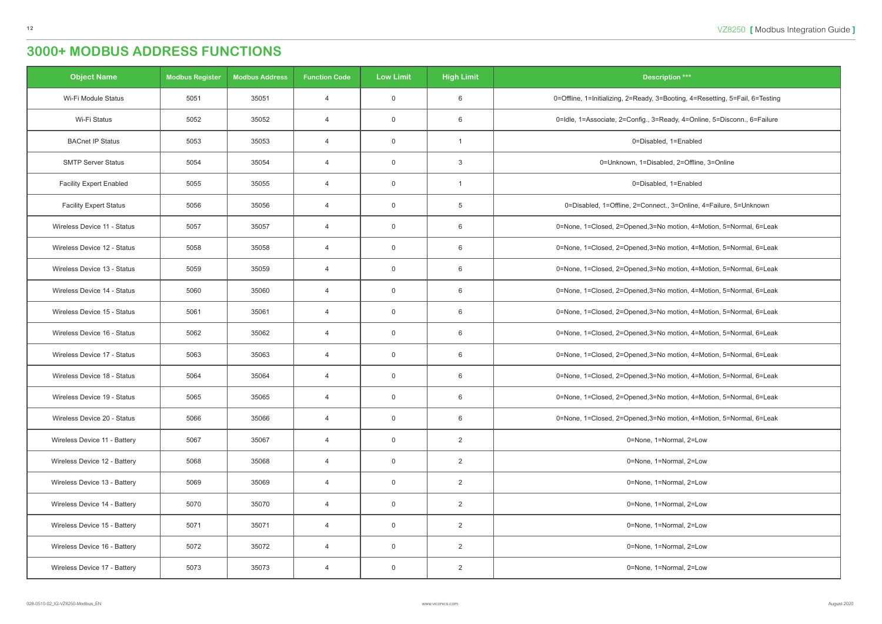| <b>Object Name</b>             | <b>Modbus Register</b> | <b>Modbus Address</b> | <b>Function Code</b> | <b>Low Limit</b> | <b>High Limit</b> | <b>Description ***</b>                                                        |
|--------------------------------|------------------------|-----------------------|----------------------|------------------|-------------------|-------------------------------------------------------------------------------|
| Wi-Fi Module Status            | 5051                   | 35051                 | $\overline{4}$       | $\overline{0}$   | 6                 | 0=Offline, 1=Initializing, 2=Ready, 3=Booting, 4=Resetting, 5=Fail, 6=Testing |
| Wi-Fi Status                   | 5052                   | 35052                 | $\overline{4}$       | $\overline{0}$   | 6                 | 0=Idle, 1=Associate, 2=Config., 3=Ready, 4=Online, 5=Disconn., 6=Failure      |
| <b>BACnet IP Status</b>        | 5053                   | 35053                 | $\overline{4}$       | $\mathbf 0$      |                   | 0=Disabled, 1=Enabled                                                         |
| <b>SMTP Server Status</b>      | 5054                   | 35054                 | $\overline{4}$       | $\overline{0}$   | 3                 | 0=Unknown, 1=Disabled, 2=Offline, 3=Online                                    |
| <b>Facility Expert Enabled</b> | 5055                   | 35055                 | $\overline{4}$       | $\mathbf 0$      |                   | 0=Disabled, 1=Enabled                                                         |
| <b>Facility Expert Status</b>  | 5056                   | 35056                 | $\overline{4}$       | $\mathbf 0$      | 5                 | 0=Disabled, 1=Offline, 2=Connect., 3=Online, 4=Failure, 5=Unknown             |
| Wireless Device 11 - Status    | 5057                   | 35057                 | $\overline{4}$       | $\overline{0}$   | 6                 | 0=None, 1=Closed, 2=Opened, 3=No motion, 4=Motion, 5=Normal, 6=Leak           |
| Wireless Device 12 - Status    | 5058                   | 35058                 | $\overline{4}$       | $\overline{0}$   | 6                 | 0=None, 1=Closed, 2=Opened, 3=No motion, 4=Motion, 5=Normal, 6=Leak           |
| Wireless Device 13 - Status    | 5059                   | 35059                 | $\overline{4}$       | $\overline{0}$   | 6                 | 0=None, 1=Closed, 2=Opened, 3=No motion, 4=Motion, 5=Normal, 6=Leak           |
| Wireless Device 14 - Status    | 5060                   | 35060                 | $\overline{4}$       | $\mathbf 0$      | 6                 | 0=None, 1=Closed, 2=Opened, 3=No motion, 4=Motion, 5=Normal, 6=Leak           |
| Wireless Device 15 - Status    | 5061                   | 35061                 | $\overline{4}$       | $\mathbf 0$      | 6                 | 0=None, 1=Closed, 2=Opened, 3=No motion, 4=Motion, 5=Normal, 6=Leak           |
| Wireless Device 16 - Status    | 5062                   | 35062                 | $\overline{4}$       | $\overline{0}$   | 6                 | 0=None, 1=Closed, 2=Opened, 3=No motion, 4=Motion, 5=Normal, 6=Leak           |
| Wireless Device 17 - Status    | 5063                   | 35063                 | $\overline{4}$       | $\mathbf 0$      | 6                 | 0=None, 1=Closed, 2=Opened, 3=No motion, 4=Motion, 5=Normal, 6=Leak           |
| Wireless Device 18 - Status    | 5064                   | 35064                 | $\overline{4}$       | $\overline{0}$   | 6                 | 0=None, 1=Closed, 2=Opened, 3=No motion, 4=Motion, 5=Normal, 6=Leak           |
| Wireless Device 19 - Status    | 5065                   | 35065                 | 4                    | $\overline{0}$   | 6                 | 0=None, 1=Closed, 2=Opened, 3=No motion, 4=Motion, 5=Normal, 6=Leak           |
| Wireless Device 20 - Status    | 5066                   | 35066                 | $\overline{4}$       | $\overline{0}$   | 6                 | 0=None, 1=Closed, 2=Opened, 3=No motion, 4=Motion, 5=Normal, 6=Leak           |
| Wireless Device 11 - Battery   | 5067                   | 35067                 | $\overline{4}$       | $\overline{0}$   | $\overline{2}$    | 0=None, 1=Normal, 2=Low                                                       |
| Wireless Device 12 - Battery   | 5068                   | 35068                 | $\overline{4}$       | $\overline{0}$   | $2^{\circ}$       | 0=None, 1=Normal, 2=Low                                                       |
| Wireless Device 13 - Battery   | 5069                   | 35069                 | $\overline{4}$       | $\overline{0}$   | $\overline{2}$    | 0=None, 1=Normal, 2=Low                                                       |
| Wireless Device 14 - Battery   | 5070                   | 35070                 | $\overline{4}$       | $\overline{0}$   | $\overline{2}$    | 0=None, 1=Normal, 2=Low                                                       |
| Wireless Device 15 - Battery   | 5071                   | 35071                 | $\overline{4}$       | $\overline{0}$   | $\overline{2}$    | 0=None, 1=Normal, 2=Low                                                       |
| Wireless Device 16 - Battery   | 5072                   | 35072                 | $\overline{4}$       | $\overline{0}$   | $\overline{2}$    | 0=None, 1=Normal, 2=Low                                                       |
| Wireless Device 17 - Battery   | 5073                   | 35073                 | $\overline{4}$       | $\overline{0}$   | $2^{\circ}$       | 0=None, 1=Normal, 2=Low                                                       |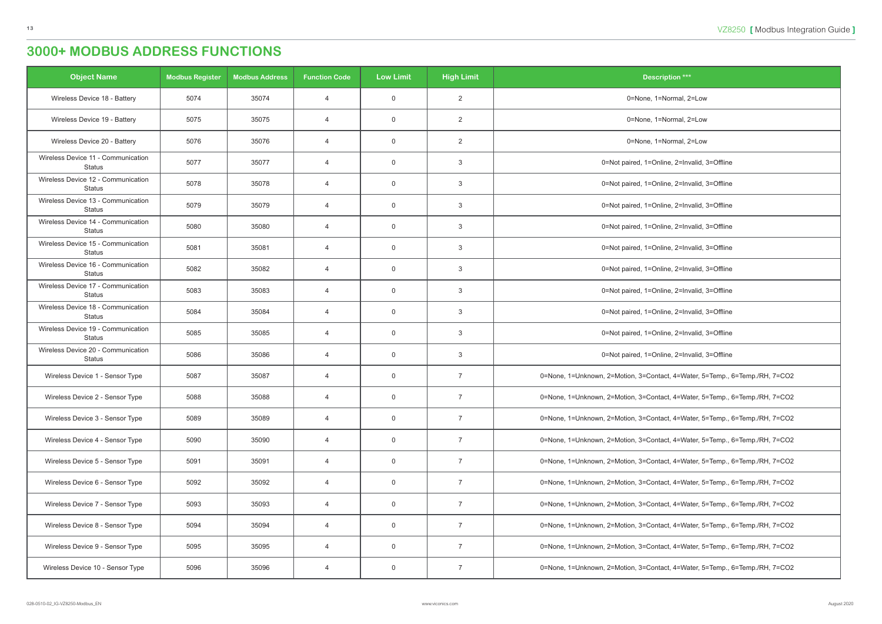| <b>Object Name</b>                                  | <b>Modbus Register</b> | <b>Modbus Address</b> | <b>Function Code</b> | <b>Low Limit</b> | <b>High Limit</b> | <b>Description ***</b>                                                      |
|-----------------------------------------------------|------------------------|-----------------------|----------------------|------------------|-------------------|-----------------------------------------------------------------------------|
| Wireless Device 18 - Battery                        | 5074                   | 35074                 | $\overline{4}$       | $\overline{0}$   | $\overline{2}$    | 0=None, 1=Normal, 2=Low                                                     |
| Wireless Device 19 - Battery                        | 5075                   | 35075                 | $\overline{4}$       | $\overline{0}$   | 2                 | 0=None, 1=Normal, 2=Low                                                     |
| Wireless Device 20 - Battery                        | 5076                   | 35076                 | $\overline{4}$       | $\overline{0}$   | $\overline{2}$    | 0=None, 1=Normal, 2=Low                                                     |
| Wireless Device 11 - Communication<br><b>Status</b> | 5077                   | 35077                 | $\overline{4}$       | $\overline{0}$   | $\mathbf{3}$      | 0=Not paired, 1=Online, 2=Invalid, 3=Offline                                |
| Wireless Device 12 - Communication<br><b>Status</b> | 5078                   | 35078                 | $\overline{4}$       | $\overline{0}$   | 3                 | 0=Not paired, 1=Online, 2=Invalid, 3=Offline                                |
| Wireless Device 13 - Communication<br><b>Status</b> | 5079                   | 35079                 | $\overline{4}$       | $\overline{0}$   | 3                 | 0=Not paired, 1=Online, 2=Invalid, 3=Offline                                |
| Wireless Device 14 - Communication<br><b>Status</b> | 5080                   | 35080                 | $\overline{4}$       | $\overline{0}$   | 3                 | 0=Not paired, 1=Online, 2=Invalid, 3=Offline                                |
| Wireless Device 15 - Communication<br><b>Status</b> | 5081                   | 35081                 | $\overline{4}$       | $\overline{0}$   | 3                 | 0=Not paired, 1=Online, 2=Invalid, 3=Offline                                |
| Wireless Device 16 - Communication<br><b>Status</b> | 5082                   | 35082                 | $\overline{4}$       | $\overline{0}$   | 3                 | 0=Not paired, 1=Online, 2=Invalid, 3=Offline                                |
| Wireless Device 17 - Communication<br><b>Status</b> | 5083                   | 35083                 | $\overline{4}$       | $\overline{0}$   | 3                 | 0=Not paired, 1=Online, 2=Invalid, 3=Offline                                |
| Wireless Device 18 - Communication<br><b>Status</b> | 5084                   | 35084                 | $\overline{4}$       | $\overline{0}$   | 3                 | 0=Not paired, 1=Online, 2=Invalid, 3=Offline                                |
| Wireless Device 19 - Communication<br><b>Status</b> | 5085                   | 35085                 | $\overline{4}$       | $\overline{0}$   | 3                 | 0=Not paired, 1=Online, 2=Invalid, 3=Offline                                |
| Wireless Device 20 - Communication<br>Status        | 5086                   | 35086                 | $\overline{4}$       | $\overline{0}$   | 3                 | 0=Not paired, 1=Online, 2=Invalid, 3=Offline                                |
| Wireless Device 1 - Sensor Type                     | 5087                   | 35087                 | $\overline{4}$       | $\overline{0}$   | $\overline{7}$    | 0=None, 1=Unknown, 2=Motion, 3=Contact, 4=Water, 5=Temp., 6=Temp./RH, 7=CO2 |
| Wireless Device 2 - Sensor Type                     | 5088                   | 35088                 | 4                    | $\overline{0}$   | 7                 | 0=None, 1=Unknown, 2=Motion, 3=Contact, 4=Water, 5=Temp., 6=Temp./RH, 7=CO2 |
| Wireless Device 3 - Sensor Type                     | 5089                   | 35089                 | $\overline{4}$       | $\overline{0}$   | 7                 | 0=None, 1=Unknown, 2=Motion, 3=Contact, 4=Water, 5=Temp., 6=Temp./RH, 7=CO2 |
| Wireless Device 4 - Sensor Type                     | 5090                   | 35090                 | 4                    | $\overline{0}$   | $\overline{7}$    | 0=None, 1=Unknown, 2=Motion, 3=Contact, 4=Water, 5=Temp., 6=Temp./RH, 7=CO2 |
| Wireless Device 5 - Sensor Type                     | 5091                   | 35091                 | $\overline{4}$       | $\overline{0}$   | $\overline{7}$    | 0=None, 1=Unknown, 2=Motion, 3=Contact, 4=Water, 5=Temp., 6=Temp./RH, 7=CO2 |
| Wireless Device 6 - Sensor Type                     | 5092                   | 35092                 | $\overline{4}$       | $\overline{0}$   | 7                 | 0=None, 1=Unknown, 2=Motion, 3=Contact, 4=Water, 5=Temp., 6=Temp./RH, 7=CO2 |
| Wireless Device 7 - Sensor Type                     | 5093                   | 35093                 | $\overline{4}$       | $\overline{0}$   | 7                 | 0=None, 1=Unknown, 2=Motion, 3=Contact, 4=Water, 5=Temp., 6=Temp./RH, 7=CO2 |
| Wireless Device 8 - Sensor Type                     | 5094                   | 35094                 | $\overline{4}$       | $\overline{0}$   | $\overline{7}$    | 0=None, 1=Unknown, 2=Motion, 3=Contact, 4=Water, 5=Temp., 6=Temp./RH, 7=CO2 |
| Wireless Device 9 - Sensor Type                     | 5095                   | 35095                 | $\overline{4}$       | $\overline{0}$   | $\overline{7}$    | 0=None, 1=Unknown, 2=Motion, 3=Contact, 4=Water, 5=Temp., 6=Temp./RH, 7=CO2 |
| Wireless Device 10 - Sensor Type                    | 5096                   | 35096                 | $\overline{4}$       | $\overline{0}$   | $\overline{7}$    | 0=None, 1=Unknown, 2=Motion, 3=Contact, 4=Water, 5=Temp., 6=Temp./RH, 7=CO2 |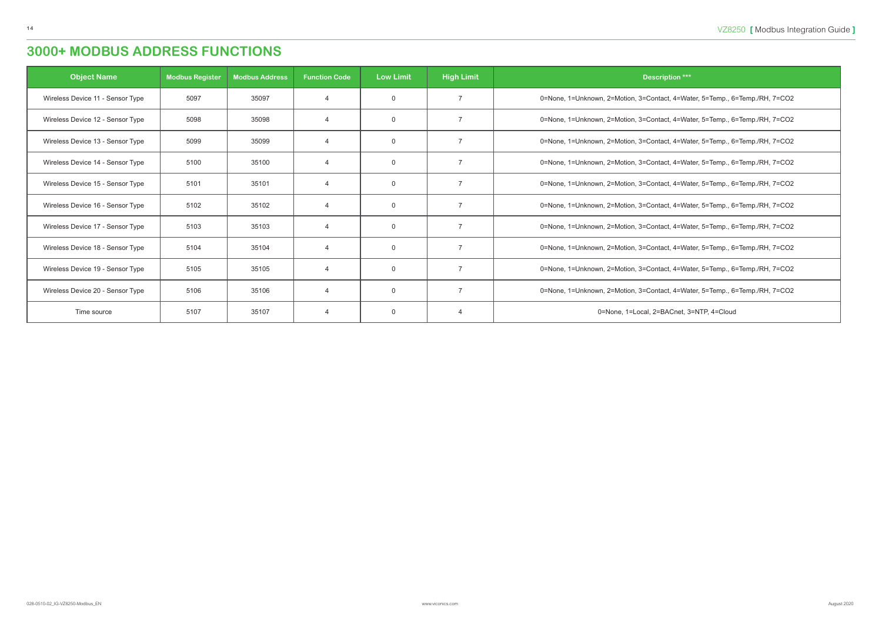| <b>Object Name</b>               | <b>Modbus Register</b> | <b>Modbus Address</b> | <b>Function Code</b> | <b>Low Limit</b> | <b>High Limit</b> | <b>Description ***</b>                                                      |
|----------------------------------|------------------------|-----------------------|----------------------|------------------|-------------------|-----------------------------------------------------------------------------|
| Wireless Device 11 - Sensor Type | 5097                   | 35097                 | $\overline{4}$       | $\Omega$         |                   | 0=None, 1=Unknown, 2=Motion, 3=Contact, 4=Water, 5=Temp., 6=Temp./RH, 7=CO2 |
| Wireless Device 12 - Sensor Type | 5098                   | 35098                 | $\overline{A}$       | $\Omega$         | $\overline{7}$    | 0=None, 1=Unknown, 2=Motion, 3=Contact, 4=Water, 5=Temp., 6=Temp./RH, 7=CO2 |
| Wireless Device 13 - Sensor Type | 5099                   | 35099                 | $\overline{A}$       | $\Omega$         | 7                 | 0=None, 1=Unknown, 2=Motion, 3=Contact, 4=Water, 5=Temp., 6=Temp./RH, 7=CO2 |
| Wireless Device 14 - Sensor Type | 5100                   | 35100                 | $\overline{A}$       | $\Omega$         |                   | 0=None, 1=Unknown, 2=Motion, 3=Contact, 4=Water, 5=Temp., 6=Temp./RH, 7=CO2 |
| Wireless Device 15 - Sensor Type | 5101                   | 35101                 | $\overline{A}$       | $\Omega$         |                   | 0=None, 1=Unknown, 2=Motion, 3=Contact, 4=Water, 5=Temp., 6=Temp./RH, 7=CO2 |
| Wireless Device 16 - Sensor Type | 5102                   | 35102                 | $\overline{A}$       | $\Omega$         |                   | 0=None, 1=Unknown, 2=Motion, 3=Contact, 4=Water, 5=Temp., 6=Temp./RH, 7=CO2 |
| Wireless Device 17 - Sensor Type | 5103                   | 35103                 | $\overline{4}$       | $\Omega$         |                   | 0=None, 1=Unknown, 2=Motion, 3=Contact, 4=Water, 5=Temp., 6=Temp./RH, 7=CO2 |
| Wireless Device 18 - Sensor Type | 5104                   | 35104                 | $\overline{4}$       | $\Omega$         |                   | 0=None, 1=Unknown, 2=Motion, 3=Contact, 4=Water, 5=Temp., 6=Temp./RH, 7=CO2 |
| Wireless Device 19 - Sensor Type | 5105                   | 35105                 | $\overline{A}$       | $\Omega$         |                   | 0=None, 1=Unknown, 2=Motion, 3=Contact, 4=Water, 5=Temp., 6=Temp./RH, 7=CO2 |
| Wireless Device 20 - Sensor Type | 5106                   | 35106                 | $\overline{A}$       | $\mathbf 0$      |                   | 0=None, 1=Unknown, 2=Motion, 3=Contact, 4=Water, 5=Temp., 6=Temp./RH, 7=CO2 |
| Time source                      | 5107                   | 35107                 | $\overline{4}$       | $\mathbf 0$      |                   | 0=None, 1=Local, 2=BACnet, 3=NTP, 4=Cloud                                   |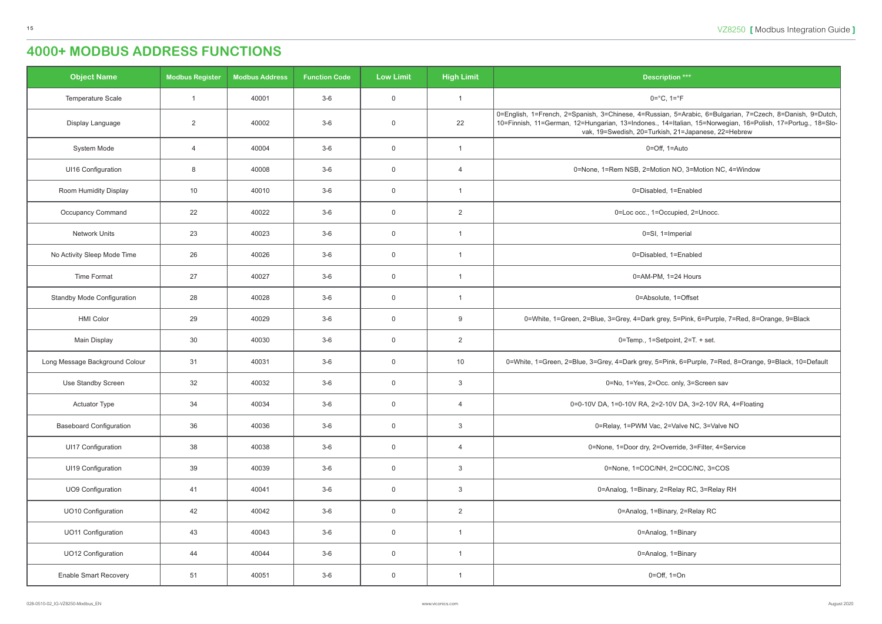<span id="page-14-0"></span>

| <b>Object Name</b>                | <b>Modbus Register</b> | <b>Modbus Address</b> | <b>Function Code</b> | <b>Low Limit</b> | <b>High Limit</b> | <b>Description ***</b>                                                                                                                                                                                                                                                        |
|-----------------------------------|------------------------|-----------------------|----------------------|------------------|-------------------|-------------------------------------------------------------------------------------------------------------------------------------------------------------------------------------------------------------------------------------------------------------------------------|
| Temperature Scale                 | $\overline{1}$         | 40001                 | $3-6$                | $\overline{0}$   |                   | $0 = ^{\circ}C, 1 = ^{\circ}F$                                                                                                                                                                                                                                                |
| Display Language                  | 2                      | 40002                 | $3-6$                | $\overline{0}$   | 22                | 0=English, 1=French, 2=Spanish, 3=Chinese, 4=Russian, 5=Arabic, 6=Bulgarian, 7=Czech, 8=Danish, 9=Dutch,<br>10=Finnish, 11=German, 12=Hungarian, 13=Indones., 14=Italian, 15=Norwegian, 16=Polish, 17=Portug., 18=Slo-<br>vak, 19=Swedish, 20=Turkish, 21=Japanese, 22=Hebrew |
| System Mode                       | $\overline{4}$         | 40004                 | $3-6$                | $\mathbf 0$      | $\overline{1}$    | 0=Off, 1=Auto                                                                                                                                                                                                                                                                 |
| UI16 Configuration                | 8                      | 40008                 | $3-6$                | $\overline{0}$   | $\overline{4}$    | 0=None, 1=Rem NSB, 2=Motion NO, 3=Motion NC, 4=Window                                                                                                                                                                                                                         |
| Room Humidity Display             | 10                     | 40010                 | $3-6$                | $\overline{0}$   |                   | 0=Disabled, 1=Enabled                                                                                                                                                                                                                                                         |
| Occupancy Command                 | 22                     | 40022                 | $3-6$                | $\overline{0}$   | $\overline{2}$    | 0=Loc occ., 1=Occupied, 2=Unocc.                                                                                                                                                                                                                                              |
| <b>Network Units</b>              | 23                     | 40023                 | $3-6$                | $\overline{0}$   |                   | 0=SI, 1=Imperial                                                                                                                                                                                                                                                              |
| No Activity Sleep Mode Time       | 26                     | 40026                 | $3-6$                | $\mathbf 0$      |                   | 0=Disabled, 1=Enabled                                                                                                                                                                                                                                                         |
| <b>Time Format</b>                | 27                     | 40027                 | $3-6$                | $\overline{0}$   |                   | 0=AM-PM, 1=24 Hours                                                                                                                                                                                                                                                           |
| <b>Standby Mode Configuration</b> | 28                     | 40028                 | $3-6$                | $\overline{0}$   |                   | 0=Absolute, 1=Offset                                                                                                                                                                                                                                                          |
| <b>HMI Color</b>                  | 29                     | 40029                 | $3-6$                | $\overline{0}$   | 9                 | 0=White, 1=Green, 2=Blue, 3=Grey, 4=Dark grey, 5=Pink, 6=Purple, 7=Red, 8=Orange, 9=Black                                                                                                                                                                                     |
| Main Display                      | 30                     | 40030                 | $3-6$                | $\overline{0}$   | $\overline{2}$    | 0=Temp., 1=Setpoint, 2=T. + set.                                                                                                                                                                                                                                              |
| Long Message Background Colour    | 31                     | 40031                 | $3-6$                | $\overline{0}$   | 10                | 0=White, 1=Green, 2=Blue, 3=Grey, 4=Dark grey, 5=Pink, 6=Purple, 7=Red, 8=Orange, 9=Black, 10=Default                                                                                                                                                                         |
| Use Standby Screen                | 32                     | 40032                 | $3-6$                | $\overline{0}$   | $\mathbf{3}$      | 0=No, 1=Yes, 2=Occ. only, 3=Screen sav                                                                                                                                                                                                                                        |
| <b>Actuator Type</b>              | 34                     | 40034                 | $3-6$                | $\overline{0}$   | $\overline{4}$    | 0=0-10V DA, 1=0-10V RA, 2=2-10V DA, 3=2-10V RA, 4=Floating                                                                                                                                                                                                                    |
| <b>Baseboard Configuration</b>    | 36                     | 40036                 | $3-6$                | $\overline{0}$   | $\mathbf{3}$      | 0=Relay, 1=PWM Vac, 2=Valve NC, 3=Valve NO                                                                                                                                                                                                                                    |
| UI17 Configuration                | 38                     | 40038                 | $3-6$                | $\overline{0}$   | $\overline{4}$    | 0=None, 1=Door dry, 2=Override, 3=Filter, 4=Service                                                                                                                                                                                                                           |
| UI19 Configuration                | 39                     | 40039                 | $3-6$                | $\overline{0}$   | $\mathbf{3}$      | 0=None, 1=COC/NH, 2=COC/NC, 3=COS                                                                                                                                                                                                                                             |
| <b>UO9 Configuration</b>          | 41                     | 40041                 | $3-6$                | $\overline{0}$   | $\mathbf{3}$      | 0=Analog, 1=Binary, 2=Relay RC, 3=Relay RH                                                                                                                                                                                                                                    |
| UO10 Configuration                | 42                     | 40042                 | $3-6$                | $\overline{0}$   | $\overline{2}$    | 0=Analog, 1=Binary, 2=Relay RC                                                                                                                                                                                                                                                |
| <b>UO11 Configuration</b>         | 43                     | 40043                 | $3-6$                | $\overline{0}$   | -1                | 0=Analog, 1=Binary                                                                                                                                                                                                                                                            |
| UO12 Configuration                | 44                     | 40044                 | $3-6$                | $\overline{0}$   | -1                | 0=Analog, 1=Binary                                                                                                                                                                                                                                                            |
| <b>Enable Smart Recovery</b>      | 51                     | 40051                 | $3-6$                | $\overline{0}$   |                   | $0 = \text{Off}, 1 = \text{On}$                                                                                                                                                                                                                                               |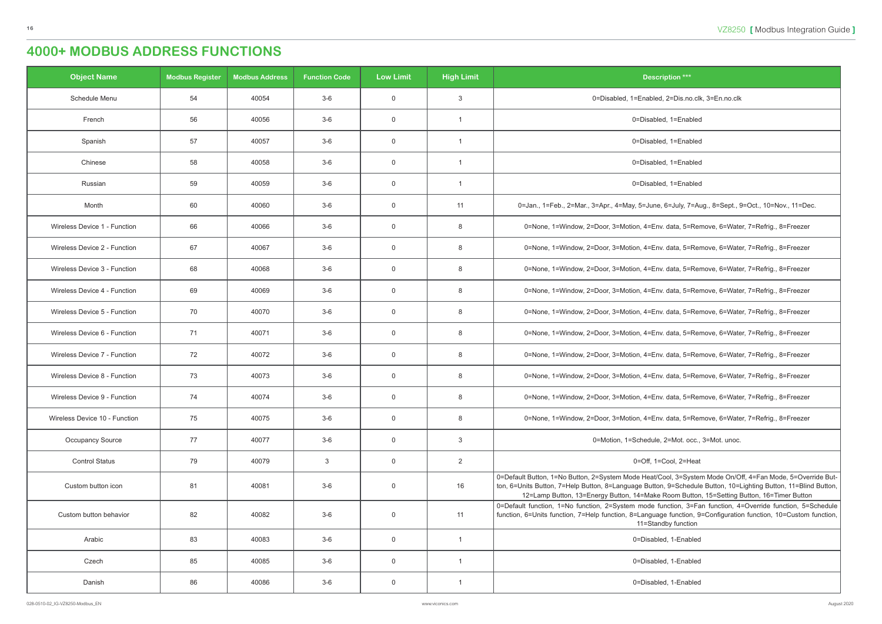| <b>Object Name</b>            | <b>Modbus Register</b> | <b>Modbus Address</b> | <b>Function Code</b> | <b>Low Limit</b> | <b>High Limit</b> | <b>Description ***</b>                                                                                                                                                                                                                                                                                    |
|-------------------------------|------------------------|-----------------------|----------------------|------------------|-------------------|-----------------------------------------------------------------------------------------------------------------------------------------------------------------------------------------------------------------------------------------------------------------------------------------------------------|
| Schedule Menu                 | 54                     | 40054                 | $3-6$                | $\mathbf 0$      | $\mathbf{3}$      | 0=Disabled, 1=Enabled, 2=Dis.no.clk, 3=En.no.clk                                                                                                                                                                                                                                                          |
| French                        | 56                     | 40056                 | $3-6$                | $\overline{0}$   | $\overline{1}$    | 0=Disabled, 1=Enabled                                                                                                                                                                                                                                                                                     |
| Spanish                       | 57                     | 40057                 | $3-6$                | $\mathbf 0$      | $\overline{1}$    | 0=Disabled, 1=Enabled                                                                                                                                                                                                                                                                                     |
| Chinese                       | 58                     | 40058                 | $3-6$                | $\mathbf 0$      | $\overline{1}$    | 0=Disabled, 1=Enabled                                                                                                                                                                                                                                                                                     |
| Russian                       | 59                     | 40059                 | $3-6$                | $\mathbf 0$      | $\overline{1}$    | 0=Disabled, 1=Enabled                                                                                                                                                                                                                                                                                     |
| Month                         | 60                     | 40060                 | $3-6$                | $\mathbf 0$      | 11                | 0=Jan., 1=Feb., 2=Mar., 3=Apr., 4=May, 5=June, 6=July, 7=Aug., 8=Sept., 9=Oct., 10=Nov., 11=Dec.                                                                                                                                                                                                          |
| Wireless Device 1 - Function  | 66                     | 40066                 | $3-6$                | $\mathbf 0$      | 8                 | 0=None, 1=Window, 2=Door, 3=Motion, 4=Env. data, 5=Remove, 6=Water, 7=Refrig., 8=Freezer                                                                                                                                                                                                                  |
| Wireless Device 2 - Function  | 67                     | 40067                 | $3-6$                | $\mathbf 0$      | 8                 | 0=None, 1=Window, 2=Door, 3=Motion, 4=Env. data, 5=Remove, 6=Water, 7=Refrig., 8=Freezer                                                                                                                                                                                                                  |
| Wireless Device 3 - Function  | 68                     | 40068                 | $3-6$                | $\mathbf 0$      | 8                 | 0=None, 1=Window, 2=Door, 3=Motion, 4=Env. data, 5=Remove, 6=Water, 7=Refrig., 8=Freezer                                                                                                                                                                                                                  |
| Wireless Device 4 - Function  | 69                     | 40069                 | $3-6$                | $\mathbf 0$      | 8                 | 0=None, 1=Window, 2=Door, 3=Motion, 4=Env. data, 5=Remove, 6=Water, 7=Refrig., 8=Freezer                                                                                                                                                                                                                  |
| Wireless Device 5 - Function  | 70                     | 40070                 | $3-6$                | $\mathbf 0$      | 8                 | 0=None, 1=Window, 2=Door, 3=Motion, 4=Env. data, 5=Remove, 6=Water, 7=Refrig., 8=Freezer                                                                                                                                                                                                                  |
| Wireless Device 6 - Function  | 71                     | 40071                 | $3-6$                | $\mathbf 0$      | 8                 | 0=None, 1=Window, 2=Door, 3=Motion, 4=Env. data, 5=Remove, 6=Water, 7=Refrig., 8=Freezer                                                                                                                                                                                                                  |
| Wireless Device 7 - Function  | 72                     | 40072                 | $3-6$                | $\mathbf 0$      | 8                 | 0=None, 1=Window, 2=Door, 3=Motion, 4=Env. data, 5=Remove, 6=Water, 7=Refrig., 8=Freezer                                                                                                                                                                                                                  |
| Wireless Device 8 - Function  | 73                     | 40073                 | 3-6                  | $\mathbf 0$      | 8                 | 0=None, 1=Window, 2=Door, 3=Motion, 4=Env. data, 5=Remove, 6=Water, 7=Refrig., 8=Freezer                                                                                                                                                                                                                  |
| Wireless Device 9 - Function  | 74                     | 40074                 | 3-6                  | 0                | 8                 | 0=None, 1=Window, 2=Door, 3=Motion, 4=Env. data, 5=Remove, 6=Water, 7=Refrig., 8=Freezer                                                                                                                                                                                                                  |
| Wireless Device 10 - Function | 75                     | 40075                 | $3-6$                | $\mathbf 0$      | 8                 | 0=None, 1=Window, 2=Door, 3=Motion, 4=Env. data, 5=Remove, 6=Water, 7=Refrig., 8=Freezer                                                                                                                                                                                                                  |
| <b>Occupancy Source</b>       | 77                     | 40077                 | $3-6$                | $\mathbf 0$      | $\mathbf{3}$      | 0=Motion, 1=Schedule, 2=Mot. occ., 3=Mot. unoc.                                                                                                                                                                                                                                                           |
| <b>Control Status</b>         | 79                     | 40079                 | $\mathbf{3}$         | $\overline{0}$   | $\overline{2}$    | 0=Off, 1=Cool, 2=Heat                                                                                                                                                                                                                                                                                     |
| Custom button icon            | 81                     | 40081                 | $3-6$                | $\mathbf 0$      | 16                | 0=Default Button, 1=No Button, 2=System Mode Heat/Cool, 3=System Mode On/Off, 4=Fan Mode, 5=Overri<br>ton, 6=Units Button, 7=Help Button, 8=Language Button, 9=Schedule Button, 10=Lighting Button, 11=Blind<br>12=Lamp Button, 13=Energy Button, 14=Make Room Button, 15=Setting Button, 16=Timer Button |
| Custom button behavior        | 82                     | 40082                 | $3-6$                | $\overline{0}$   | 11                | 0=Default function, 1=No function, 2=System mode function, 3=Fan function, 4=Override function, 5=So<br>function, 6=Units function, 7=Help function, 8=Language function, 9=Configuration function, 10=Custom fi<br>11=Standby function                                                                   |
| Arabic                        | 83                     | 40083                 | $3-6$                | $\mathbf 0$      | $\overline{1}$    | 0=Disabled, 1-Enabled                                                                                                                                                                                                                                                                                     |
| Czech                         | 85                     | 40085                 | $3-6$                | $\mathbf 0$      | $\overline{1}$    | 0=Disabled, 1-Enabled                                                                                                                                                                                                                                                                                     |
| Danish                        | 86                     | 40086                 | $3-6$                | $\overline{0}$   | $\overline{1}$    | 0=Disabled, 1-Enabled                                                                                                                                                                                                                                                                                     |

| <b>Description ***</b>                                                                                                                                                                                                                                                                                                   |
|--------------------------------------------------------------------------------------------------------------------------------------------------------------------------------------------------------------------------------------------------------------------------------------------------------------------------|
| 0=Disabled, 1=Enabled, 2=Dis.no.clk, 3=En.no.clk                                                                                                                                                                                                                                                                         |
| 0=Disabled, 1=Enabled                                                                                                                                                                                                                                                                                                    |
| 0=Disabled, 1=Enabled                                                                                                                                                                                                                                                                                                    |
| 0=Disabled, 1=Enabled                                                                                                                                                                                                                                                                                                    |
| 0=Disabled, 1=Enabled                                                                                                                                                                                                                                                                                                    |
| .0=Jan., 1=Feb., 2=Mar., 3=Apr., 4=May, 5=June, 6=July, 7=Aug., 8=Sept., 9=Oct., 10=Nov., 11=Dec                                                                                                                                                                                                                         |
| 0=None, 1=Window, 2=Door, 3=Motion, 4=Env. data, 5=Remove, 6=Water, 7=Refrig., 8=Freezer                                                                                                                                                                                                                                 |
| 0=None, 1=Window, 2=Door, 3=Motion, 4=Env. data, 5=Remove, 6=Water, 7=Refrig., 8=Freezer                                                                                                                                                                                                                                 |
| 0=None, 1=Window, 2=Door, 3=Motion, 4=Env. data, 5=Remove, 6=Water, 7=Refrig., 8=Freezer                                                                                                                                                                                                                                 |
| 0=None, 1=Window, 2=Door, 3=Motion, 4=Env. data, 5=Remove, 6=Water, 7=Refrig., 8=Freezer                                                                                                                                                                                                                                 |
| 0=None, 1=Window, 2=Door, 3=Motion, 4=Env. data, 5=Remove, 6=Water, 7=Refrig., 8=Freezer                                                                                                                                                                                                                                 |
| 0=None, 1=Window, 2=Door, 3=Motion, 4=Env. data, 5=Remove, 6=Water, 7=Refrig., 8=Freezer                                                                                                                                                                                                                                 |
| 0=None, 1=Window, 2=Door, 3=Motion, 4=Env. data, 5=Remove, 6=Water, 7=Refrig., 8=Freezer                                                                                                                                                                                                                                 |
| 0=None, 1=Window, 2=Door, 3=Motion, 4=Env. data, 5=Remove, 6=Water, 7=Refrig., 8=Freezer                                                                                                                                                                                                                                 |
| 0=None, 1=Window, 2=Door, 3=Motion, 4=Env. data, 5=Remove, 6=Water, 7=Refrig., 8=Freezer                                                                                                                                                                                                                                 |
| 0=None, 1=Window, 2=Door, 3=Motion, 4=Env. data, 5=Remove, 6=Water, 7=Refrig., 8=Freezer                                                                                                                                                                                                                                 |
| 0=Motion, 1=Schedule, 2=Mot. occ., 3=Mot. unoc.                                                                                                                                                                                                                                                                          |
| 0=Off, 1=Cool, 2=Heat                                                                                                                                                                                                                                                                                                    |
| 0=Default Button, 1=No Button, 2=System Mode Heat/Cool, 3=System Mode On/Off, 4=Fan Mode, 5=Override But-<br>ton, 6=Units Button, 7=Help Button, 8=Language Button, 9=Schedule Button, 10=Lighting Button, 11=Blind Button,<br>12=Lamp Button, 13=Energy Button, 14=Make Room Button, 15=Setting Button, 16=Timer Button |
| 0=Default function, 1=No function, 2=System mode function, 3=Fan function, 4=Override function, 5=Schedule<br>function, 6=Units function, 7=Help function, 8=Language function, 9=Configuration function, 10=Custom function,<br>11=Standby function                                                                     |
| 0=Disabled, 1-Enabled                                                                                                                                                                                                                                                                                                    |
| 0=Disabled, 1-Enabled                                                                                                                                                                                                                                                                                                    |
| 0=Disabled, 1-Enabled                                                                                                                                                                                                                                                                                                    |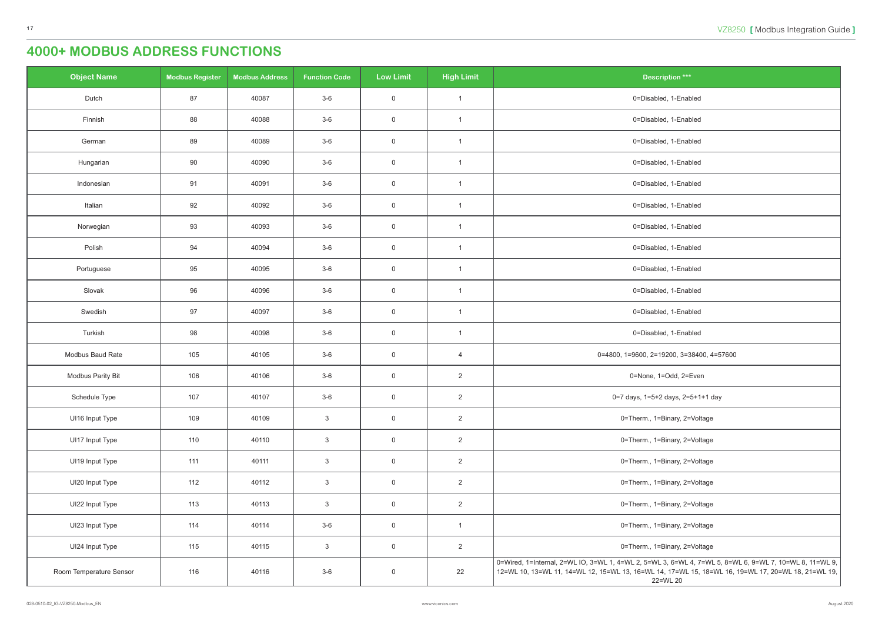| <b>Object Name</b>      | <b>Modbus Register</b> | <b>Modbus Address</b> | <b>Function Code</b> | <b>Low Limit</b> | <b>High Limit</b>       | <b>Description ***</b>                                                                                                                                                                                                         |
|-------------------------|------------------------|-----------------------|----------------------|------------------|-------------------------|--------------------------------------------------------------------------------------------------------------------------------------------------------------------------------------------------------------------------------|
| Dutch                   | 87                     | 40087                 | $3-6$                | $\overline{0}$   | $\overline{\mathbf{1}}$ | 0=Disabled, 1-Enabled                                                                                                                                                                                                          |
| Finnish                 | 88                     | 40088                 | $3-6$                | $\overline{0}$   | $\overline{1}$          | 0=Disabled, 1-Enabled                                                                                                                                                                                                          |
| German                  | 89                     | 40089                 | $3-6$                | $\overline{0}$   | -1                      | 0=Disabled, 1-Enabled                                                                                                                                                                                                          |
| Hungarian               | 90                     | 40090                 | $3-6$                | $\overline{0}$   |                         | 0=Disabled, 1-Enabled                                                                                                                                                                                                          |
| Indonesian              | 91                     | 40091                 | $3-6$                | $\overline{0}$   | $\overline{1}$          | 0=Disabled, 1-Enabled                                                                                                                                                                                                          |
| Italian                 | 92                     | 40092                 | $3-6$                | $\overline{0}$   | -1                      | 0=Disabled, 1-Enabled                                                                                                                                                                                                          |
| Norwegian               | 93                     | 40093                 | $3-6$                | $\overline{0}$   | $\overline{1}$          | 0=Disabled, 1-Enabled                                                                                                                                                                                                          |
| Polish                  | 94                     | 40094                 | $3-6$                | $\overline{0}$   | -1                      | 0=Disabled, 1-Enabled                                                                                                                                                                                                          |
| Portuguese              | 95                     | 40095                 | $3-6$                | $\overline{0}$   |                         | 0=Disabled, 1-Enabled                                                                                                                                                                                                          |
| Slovak                  | 96                     | 40096                 | $3-6$                | $\overline{0}$   | $\overline{1}$          | 0=Disabled, 1-Enabled                                                                                                                                                                                                          |
| Swedish                 | 97                     | 40097                 | $3-6$                | $\overline{0}$   | $\overline{\mathbf{1}}$ | 0=Disabled, 1-Enabled                                                                                                                                                                                                          |
| Turkish                 | 98                     | 40098                 | $3-6$                | $\overline{0}$   | $\overline{1}$          | 0=Disabled, 1-Enabled                                                                                                                                                                                                          |
| Modbus Baud Rate        | 105                    | 40105                 | $3-6$                | $\overline{0}$   | $\overline{4}$          | 0=4800, 1=9600, 2=19200, 3=38400, 4=57600                                                                                                                                                                                      |
| Modbus Parity Bit       | 106                    | 40106                 | $3-6$                | $\overline{0}$   | $\overline{2}$          | 0=None, 1=Odd, 2=Even                                                                                                                                                                                                          |
| Schedule Type           | 107                    | 40107                 | $3-6$                | $\mathbf 0$      | $2^{\circ}$             | 0=7 days, 1=5+2 days, 2=5+1+1 day                                                                                                                                                                                              |
| UI16 Input Type         | 109                    | 40109                 | $\mathbf{3}$         | $\overline{0}$   | $\overline{2}$          | 0=Therm., 1=Binary, 2=Voltage                                                                                                                                                                                                  |
| UI17 Input Type         | 110                    | 40110                 | $\mathbf{3}$         | $\mathsf{O}$     | $\overline{2}$          | 0=Therm., 1=Binary, 2=Voltage                                                                                                                                                                                                  |
| UI19 Input Type         | 111                    | 40111                 | $\mathbf{3}$         | $\overline{0}$   | $\overline{2}$          | 0=Therm., 1=Binary, 2=Voltage                                                                                                                                                                                                  |
| UI20 Input Type         | 112                    | 40112                 | $\mathbf{3}$         | $\overline{0}$   | $\overline{2}$          | 0=Therm., 1=Binary, 2=Voltage                                                                                                                                                                                                  |
| UI22 Input Type         | 113                    | 40113                 | $\mathbf{3}$         | $\overline{0}$   | $\overline{2}$          | 0=Therm., 1=Binary, 2=Voltage                                                                                                                                                                                                  |
| UI23 Input Type         | 114                    | 40114                 | $3-6$                | $\overline{0}$   | $\overline{1}$          | 0=Therm., 1=Binary, 2=Voltage                                                                                                                                                                                                  |
| UI24 Input Type         | 115                    | 40115                 | $\mathbf{3}$         | $\overline{0}$   | $\overline{2}$          | 0=Therm., 1=Binary, 2=Voltage                                                                                                                                                                                                  |
| Room Temperature Sensor | 116                    | 40116                 | $3-6$                | $\overline{0}$   | 22                      | 0=Wired, 1=Internal, 2=WL IO, 3=WL 1, 4=WL 2, 5=WL 3, 6=WL 4, 7=WL 5, 8=WL 6, 9=WL 7, 10=WL 8, 11=WL 9,  <br>12=WL 10, 13=WL 11, 14=WL 12, 15=WL 13, 16=WL 14, 17=WL 15, 18=WL 16, 19=WL 17, 20=WL 18, 21=WL 19,  <br>22=WL 20 |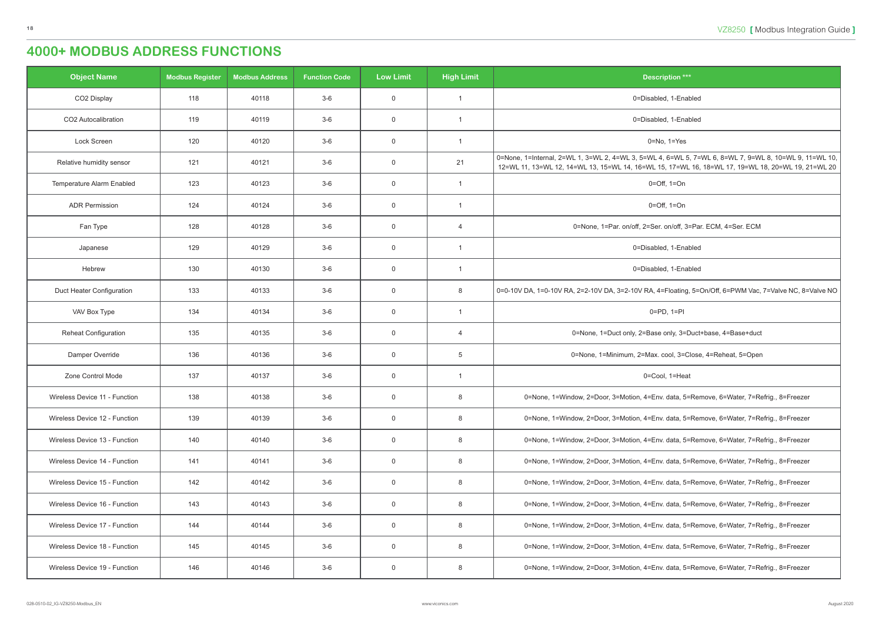| <b>Object Name</b>            | <b>Modbus Register</b> | <b>Modbus Address</b> | <b>Function Code</b> | <b>Low Limit</b> | <b>High Limit</b> | <b>Description ***</b>                                                                                                                                                                                         |
|-------------------------------|------------------------|-----------------------|----------------------|------------------|-------------------|----------------------------------------------------------------------------------------------------------------------------------------------------------------------------------------------------------------|
| CO2 Display                   | 118                    | 40118                 | $3-6$                | $\overline{0}$   |                   | 0=Disabled, 1-Enabled                                                                                                                                                                                          |
| CO2 Autocalibration           | 119                    | 40119                 | $3-6$                | $\overline{0}$   |                   | 0=Disabled, 1-Enabled                                                                                                                                                                                          |
| Lock Screen                   | 120                    | 40120                 | $3-6$                | $\overline{0}$   |                   | $0 = No$ , $1 = Yes$                                                                                                                                                                                           |
| Relative humidity sensor      | 121                    | 40121                 | $3-6$                | $\overline{0}$   | 21                | 0=None, 1=Internal, 2=WL 1, 3=WL 2, 4=WL 3, 5=WL 4, 6=WL 5, 7=WL 6, 8=WL 7, 9=WL 8, 10=WL 9, 11=WL 10,  <br>12=WL 11, 13=WL 12, 14=WL 13, 15=WL 14, 16=WL 15, 17=WL 16, 18=WL 17, 19=WL 18, 20=WL 19, 21=WL 20 |
| Temperature Alarm Enabled     | 123                    | 40123                 | $3-6$                | $\overline{0}$   | -1                | $0=Off$ , $1=On$                                                                                                                                                                                               |
| <b>ADR Permission</b>         | 124                    | 40124                 | $3-6$                | $\overline{0}$   |                   | $0=Off$ , $1=On$                                                                                                                                                                                               |
| Fan Type                      | 128                    | 40128                 | $3-6$                | $\overline{0}$   | $\overline{4}$    | 0=None, 1=Par. on/off, 2=Ser. on/off, 3=Par. ECM, 4=Ser. ECM                                                                                                                                                   |
| Japanese                      | 129                    | 40129                 | $3-6$                | $\overline{0}$   |                   | 0=Disabled, 1-Enabled                                                                                                                                                                                          |
| Hebrew                        | 130                    | 40130                 | $3-6$                | $\overline{0}$   | - 1               | 0=Disabled, 1-Enabled                                                                                                                                                                                          |
| Duct Heater Configuration     | 133                    | 40133                 | $3-6$                | $\overline{0}$   | 8                 | 0=0-10V DA, 1=0-10V RA, 2=2-10V DA, 3=2-10V RA, 4=Floating, 5=On/Off, 6=PWM Vac, 7=Valve NC, 8=Valve NO                                                                                                        |
| VAV Box Type                  | 134                    | 40134                 | $3-6$                | $\overline{0}$   | $\overline{1}$    | $0=PD, 1=PI$                                                                                                                                                                                                   |
| <b>Reheat Configuration</b>   | 135                    | 40135                 | $3-6$                | $\overline{0}$   | $\overline{4}$    | 0=None, 1=Duct only, 2=Base only, 3=Duct+base, 4=Base+duct                                                                                                                                                     |
| Damper Override               | 136                    | 40136                 | $3-6$                | $\overline{0}$   | 5                 | 0=None, 1=Minimum, 2=Max. cool, 3=Close, 4=Reheat, 5=Open                                                                                                                                                      |
| Zone Control Mode             | 137                    | 40137                 | $3-6$                | $\overline{0}$   | $\overline{1}$    | 0=Cool, 1=Heat                                                                                                                                                                                                 |
| Wireless Device 11 - Function | 138                    | 40138                 | $3-6$                | $\overline{0}$   | 8                 | 0=None, 1=Window, 2=Door, 3=Motion, 4=Env. data, 5=Remove, 6=Water, 7=Refrig., 8=Freezer                                                                                                                       |
| Wireless Device 12 - Function | 139                    | 40139                 | $3-6$                | $\overline{0}$   | 8                 | 0=None, 1=Window, 2=Door, 3=Motion, 4=Env. data, 5=Remove, 6=Water, 7=Refrig., 8=Freezer                                                                                                                       |
| Wireless Device 13 - Function | 140                    | 40140                 | $3-6$                | $\overline{0}$   | 8                 | 0=None, 1=Window, 2=Door, 3=Motion, 4=Env. data, 5=Remove, 6=Water, 7=Refrig., 8=Freezer                                                                                                                       |
| Wireless Device 14 - Function | 141                    | 40141                 | $3-6$                | $\overline{0}$   | 8                 | 0=None, 1=Window, 2=Door, 3=Motion, 4=Env. data, 5=Remove, 6=Water, 7=Refrig., 8=Freezer                                                                                                                       |
| Wireless Device 15 - Function | 142                    | 40142                 | $3-6$                | $\overline{0}$   | 8                 | 0=None, 1=Window, 2=Door, 3=Motion, 4=Env. data, 5=Remove, 6=Water, 7=Refrig., 8=Freezer                                                                                                                       |
| Wireless Device 16 - Function | 143                    | 40143                 | $3-6$                | $\overline{0}$   | 8                 | 0=None, 1=Window, 2=Door, 3=Motion, 4=Env. data, 5=Remove, 6=Water, 7=Refrig., 8=Freezer                                                                                                                       |
| Wireless Device 17 - Function | 144                    | 40144                 | $3-6$                | $\overline{0}$   | 8                 | 0=None, 1=Window, 2=Door, 3=Motion, 4=Env. data, 5=Remove, 6=Water, 7=Refrig., 8=Freezer                                                                                                                       |
| Wireless Device 18 - Function | 145                    | 40145                 | $3-6$                | $\overline{0}$   | 8                 | 0=None, 1=Window, 2=Door, 3=Motion, 4=Env. data, 5=Remove, 6=Water, 7=Refrig., 8=Freezer                                                                                                                       |
| Wireless Device 19 - Function | 146                    | 40146                 | $3-6$                | $\overline{0}$   | 8                 | 0=None, 1=Window, 2=Door, 3=Motion, 4=Env. data, 5=Remove, 6=Water, 7=Refrig., 8=Freezer                                                                                                                       |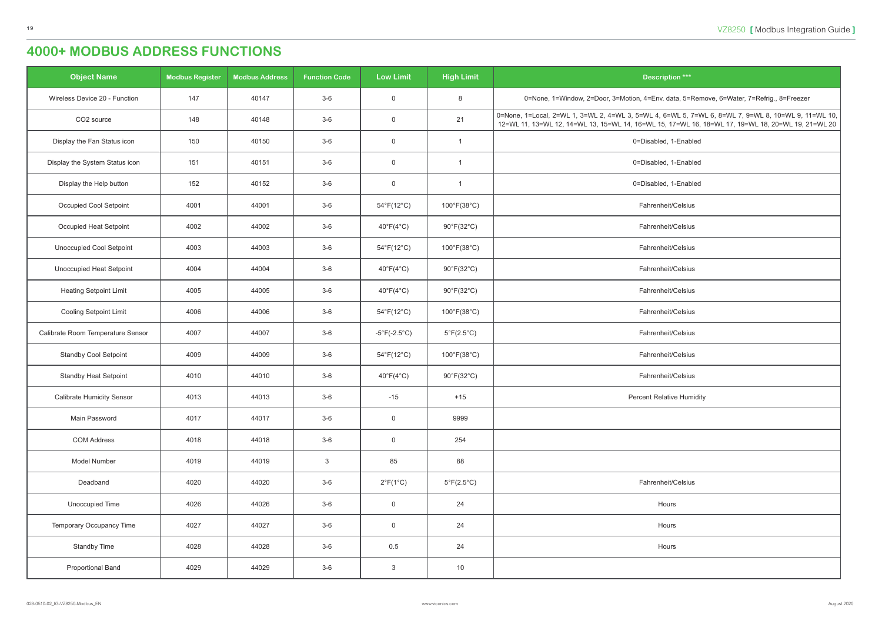| <b>Object Name</b>                | <b>Modbus Register</b> | <b>Modbus Address</b> | <b>Function Code</b> | <b>Low Limit</b>             | <b>High Limit</b>                | <b>Description ***</b>                                                                                                                                                                                    |
|-----------------------------------|------------------------|-----------------------|----------------------|------------------------------|----------------------------------|-----------------------------------------------------------------------------------------------------------------------------------------------------------------------------------------------------------|
| Wireless Device 20 - Function     | 147                    | 40147                 | $3-6$                | $\overline{0}$               | 8                                | 0=None, 1=Window, 2=Door, 3=Motion, 4=Env. data, 5=Remove, 6=Water, 7=Refrig., 8=Freezer                                                                                                                  |
| CO2 source                        | 148                    | 40148                 | $3-6$                | $\overline{0}$               | 21                               | 0=None, 1=Local, 2=WL 1, 3=WL 2, 4=WL 3, 5=WL 4, 6=WL 5, 7=WL 6, 8=WL 7, 9=WL 8, 10=WL 9, 11=WL 10,<br>12=WL 11, 13=WL 12, 14=WL 13, 15=WL 14, 16=WL 15, 17=WL 16, 18=WL 17, 19=WL 18, 20=WL 19, 21=WL 20 |
| Display the Fan Status icon       | 150                    | 40150                 | $3-6$                | $\overline{0}$               | $\overline{1}$                   | 0=Disabled, 1-Enabled                                                                                                                                                                                     |
| Display the System Status icon    | 151                    | 40151                 | $3-6$                | $\overline{0}$               | $\overline{1}$                   | 0=Disabled, 1-Enabled                                                                                                                                                                                     |
| Display the Help button           | 152                    | 40152                 | $3-6$                | $\overline{0}$               | $\overline{1}$                   | 0=Disabled, 1-Enabled                                                                                                                                                                                     |
| <b>Occupied Cool Setpoint</b>     | 4001                   | 44001                 | $3-6$                | $54^{\circ}F(12^{\circ}C)$   | 100°F(38°C)                      | Fahrenheit/Celsius                                                                                                                                                                                        |
| Occupied Heat Setpoint            | 4002                   | 44002                 | $3-6$                | $40^{\circ}F(4^{\circ}C)$    | $90^{\circ}$ F(32 $^{\circ}$ C)  | Fahrenheit/Celsius                                                                                                                                                                                        |
| <b>Unoccupied Cool Setpoint</b>   | 4003                   | 44003                 | $3-6$                | $54^{\circ}F(12^{\circ}C)$   | $100^{\circ}$ F(38 $^{\circ}$ C) | Fahrenheit/Celsius                                                                                                                                                                                        |
| <b>Unoccupied Heat Setpoint</b>   | 4004                   | 44004                 | $3-6$                | $40^{\circ}F(4^{\circ}C)$    | $90^{\circ}$ F(32 $^{\circ}$ C)  | Fahrenheit/Celsius                                                                                                                                                                                        |
| <b>Heating Setpoint Limit</b>     | 4005                   | 44005                 | $3-6$                | $40^{\circ}F(4^{\circ}C)$    | $90^{\circ}$ F(32 $^{\circ}$ C)  | Fahrenheit/Celsius                                                                                                                                                                                        |
| <b>Cooling Setpoint Limit</b>     | 4006                   | 44006                 | $3-6$                | $54^{\circ}F(12^{\circ}C)$   | 100°F(38°C)                      | Fahrenheit/Celsius                                                                                                                                                                                        |
| Calibrate Room Temperature Sensor | 4007                   | 44007                 | $3-6$                | $-5^{\circ}F(-2.5^{\circ}C)$ | $5^{\circ}F(2.5^{\circ}C)$       | Fahrenheit/Celsius                                                                                                                                                                                        |
| <b>Standby Cool Setpoint</b>      | 4009                   | 44009                 | $3-6$                | $54^{\circ}F(12^{\circ}C)$   | $100^{\circ}$ F(38 $^{\circ}$ C) | Fahrenheit/Celsius                                                                                                                                                                                        |
| <b>Standby Heat Setpoint</b>      | 4010                   | 44010                 | $3-6$                | $40^{\circ}F(4^{\circ}C)$    | $90^{\circ}$ F(32 $^{\circ}$ C)  | Fahrenheit/Celsius                                                                                                                                                                                        |
| <b>Calibrate Humidity Sensor</b>  | 4013                   | 44013                 | $3-6$                | $-15$                        | $+15$                            | <b>Percent Relative Humidity</b>                                                                                                                                                                          |
| Main Password                     | 4017                   | 44017                 | $3-6$                | $\overline{0}$               | 9999                             |                                                                                                                                                                                                           |
| <b>COM Address</b>                | 4018                   | 44018                 | $3-6$                | $\overline{0}$               | 254                              |                                                                                                                                                                                                           |
| Model Number                      | 4019                   | 44019                 | $\mathbf{3}$         | 85                           | 88                               |                                                                                                                                                                                                           |
| Deadband                          | 4020                   | 44020                 | $3-6$                | $2^{\circ}F(1^{\circ}C)$     | $5^{\circ}F(2.5^{\circ}C)$       | Fahrenheit/Celsius                                                                                                                                                                                        |
| Unoccupied Time                   | 4026                   | 44026                 | $3-6$                | $\overline{0}$               | 24                               | Hours                                                                                                                                                                                                     |
| Temporary Occupancy Time          | 4027                   | 44027                 | $3-6$                | $\overline{0}$               | 24                               | Hours                                                                                                                                                                                                     |
| <b>Standby Time</b>               | 4028                   | 44028                 | $3-6$                | 0.5                          | 24                               | Hours                                                                                                                                                                                                     |
| <b>Proportional Band</b>          | 4029                   | 44029                 | $3-6$                | $\mathbf{3}$                 | 10                               |                                                                                                                                                                                                           |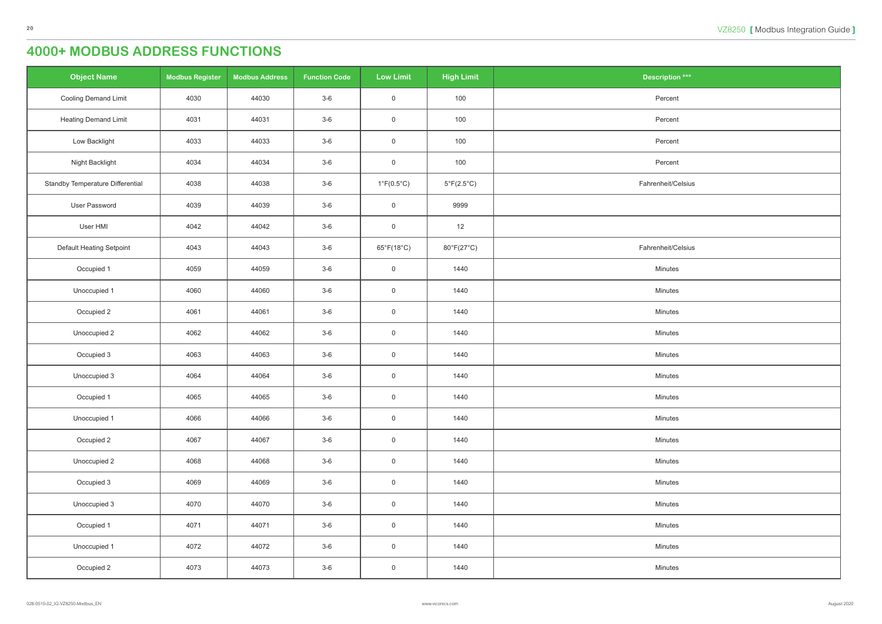| <b>Object Name</b>                      | <b>Modbus Register</b> | <b>Modbus Address</b> | <b>Function Code</b> | <b>Low Limit</b>           | <b>High Limit</b>          | <b>Description ***</b> |
|-----------------------------------------|------------------------|-----------------------|----------------------|----------------------------|----------------------------|------------------------|
| <b>Cooling Demand Limit</b>             | 4030                   | 44030                 | $3-6$                | $\mathsf 0$                | 100                        | Percent                |
| <b>Heating Demand Limit</b>             | 4031                   | 44031                 | $3-6$                | $\mathsf 0$                | 100                        | Percent                |
| Low Backlight                           | 4033                   | 44033                 | $3-6$                | $\overline{0}$             | 100                        | Percent                |
| Night Backlight                         | 4034                   | 44034                 | $3-6$                | $\overline{0}$             | 100                        | Percent                |
| <b>Standby Temperature Differential</b> | 4038                   | 44038                 | $3-6$                | $1^{\circ}F(0.5^{\circ}C)$ | $5^{\circ}F(2.5^{\circ}C)$ | Fahrenheit/Celsius     |
| User Password                           | 4039                   | 44039                 | $3-6$                | $\overline{0}$             | 9999                       |                        |
| User HMI                                | 4042                   | 44042                 | $3-6$                | $\mathsf 0$                | 12                         |                        |
| Default Heating Setpoint                | 4043                   | 44043                 | $3-6$                | $65^{\circ}F(18^{\circ}C)$ | 80°F(27°C)                 | Fahrenheit/Celsius     |
| Occupied 1                              | 4059                   | 44059                 | $3-6$                | $\overline{0}$             | 1440                       | Minutes                |
| Unoccupied 1                            | 4060                   | 44060                 | $3-6$                | $\mathsf 0$                | 1440                       | Minutes                |
| Occupied 2                              | 4061                   | 44061                 | $3-6$                | $\mathsf 0$                | 1440                       | Minutes                |
| Unoccupied 2                            | 4062                   | 44062                 | $3-6$                | $\overline{0}$             | 1440                       | Minutes                |
| Occupied 3                              | 4063                   | 44063                 | $3-6$                | $\overline{0}$             | 1440                       | Minutes                |
| Unoccupied 3                            | 4064                   | 44064                 | $3-6$                | $\overline{0}$             | 1440                       | Minutes                |
| Occupied 1                              | 4065                   | 44065                 | $3-6$                | $\overline{0}$             | 1440                       | Minutes                |
| Unoccupied 1                            | 4066                   | 44066                 | $3-6$                | $\overline{0}$             | 1440                       | Minutes                |
| Occupied 2                              | 4067                   | 44067                 | $3-6$                | $\overline{0}$             | 1440                       | Minutes                |
| Unoccupied 2                            | 4068                   | 44068                 | $3-6$                | $\overline{0}$             | 1440                       | Minutes                |
| Occupied 3                              | 4069                   | 44069                 | $3-6$                | $\mathsf{O}$               | 1440                       | Minutes                |
| Unoccupied 3                            | 4070                   | 44070                 | $3-6$                | $\overline{0}$             | 1440                       | Minutes                |
| Occupied 1                              | 4071                   | 44071                 | $3-6$                | $\mathsf{O}$               | 1440                       | Minutes                |
| Unoccupied 1                            | 4072                   | 44072                 | $3-6$                | $\overline{0}$             | 1440                       | Minutes                |
| Occupied 2                              | 4073                   | 44073                 | $3-6$                | $\overline{0}$             | 1440                       | Minutes                |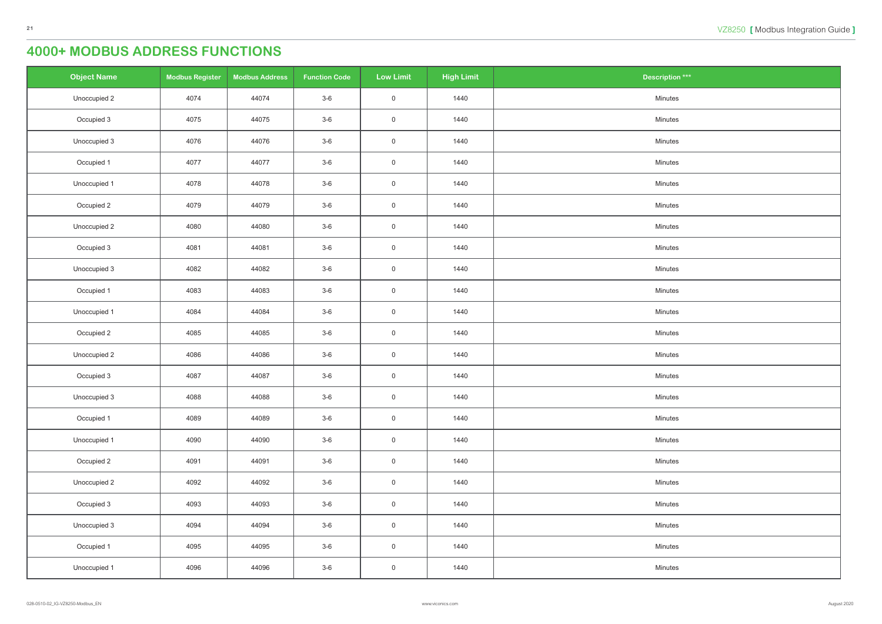| <b>Object Name</b> | <b>Modbus Register</b> | <b>Modbus Address</b> | <b>Function Code</b> | <b>Low Limit</b>    | <b>High Limit</b> | <b>Description ***</b> |
|--------------------|------------------------|-----------------------|----------------------|---------------------|-------------------|------------------------|
| Unoccupied 2       | 4074                   | 44074                 | $3-6$                | $\overline{0}$      | 1440              | Minutes                |
| Occupied 3         | 4075                   | 44075                 | $3-6$                | $\overline{0}$      | 1440              | Minutes                |
| Unoccupied 3       | 4076                   | 44076                 | $3-6$                | $\overline{0}$      | 1440              | Minutes                |
| Occupied 1         | 4077                   | 44077                 | $3-6$                | $\mathsf{O}\xspace$ | 1440              | Minutes                |
| Unoccupied 1       | 4078                   | 44078                 | $3-6$                | $\overline{0}$      | 1440              | Minutes                |
| Occupied 2         | 4079                   | 44079                 | $3-6$                | $\overline{0}$      | 1440              | Minutes                |
| Unoccupied 2       | 4080                   | 44080                 | $3-6$                | $\mathsf{O}\xspace$ | 1440              | Minutes                |
| Occupied 3         | 4081                   | 44081                 | $3-6$                | $\overline{0}$      | 1440              | Minutes                |
| Unoccupied 3       | 4082                   | 44082                 | $3-6$                | $\mathsf{O}$        | 1440              | Minutes                |
| Occupied 1         | 4083                   | 44083                 | $3-6$                | $\overline{0}$      | 1440              | Minutes                |
| Unoccupied 1       | 4084                   | 44084                 | $3-6$                | $\overline{0}$      | 1440              | Minutes                |
| Occupied 2         | 4085                   | 44085                 | $3-6$                | $\overline{0}$      | 1440              | Minutes                |
| Unoccupied 2       | 4086                   | 44086                 | $3-6$                | $\overline{0}$      | 1440              | Minutes                |
| Occupied 3         | 4087                   | 44087                 | $3-6$                | $\mathsf{O}$        | 1440              | Minutes                |
| Unoccupied 3       | 4088                   | 44088                 | $3-6$                | $\overline{0}$      | 1440              | Minutes                |
| Occupied 1         | 4089                   | 44089                 | $3-6$                | $\mathsf{O}$        | 1440              | Minutes                |
| Unoccupied 1       | 4090                   | 44090                 | $3-6$                | $\mathsf{O}$        | 1440              | Minutes                |
| Occupied 2         | 4091                   | 44091                 | $3-6$                | $\overline{0}$      | 1440              | Minutes                |
| Unoccupied 2       | 4092                   | 44092                 | $3-6$                | $\overline{0}$      | 1440              | Minutes                |
| Occupied 3         | 4093                   | 44093                 | $3-6$                | $\overline{0}$      | 1440              | Minutes                |
| Unoccupied 3       | 4094                   | 44094                 | $3-6$                | $\mathsf{O}$        | 1440              | Minutes                |
| Occupied 1         | 4095                   | 44095                 | $3-6$                | $\overline{0}$      | 1440              | Minutes                |
| Unoccupied 1       | 4096                   | 44096                 | $3-6$                | $\overline{0}$      | 1440              | Minutes                |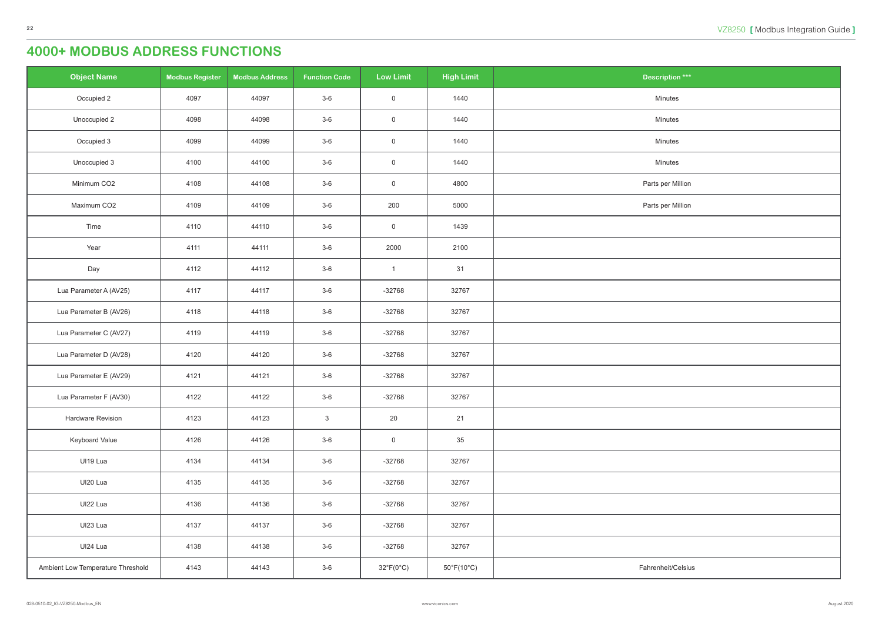| )tion $\stackrel{***}{\phantom{}_{\sim}}$ |
|-------------------------------------------|
| utes                                      |
| utes                                      |
| utes                                      |
| utes                                      |
| r Million                                 |
| r Million                                 |
|                                           |
|                                           |
|                                           |
|                                           |
|                                           |
|                                           |
|                                           |
|                                           |
|                                           |
|                                           |
|                                           |
|                                           |
|                                           |
|                                           |
|                                           |
|                                           |
| it/Celsius                                |

| <b>Object Name</b>                | <b>Modbus Register</b> | <b>Modbus Address</b> | <b>Function Code</b> | <b>Low Limit</b>          | <b>High Limit</b>               | Description ***    |
|-----------------------------------|------------------------|-----------------------|----------------------|---------------------------|---------------------------------|--------------------|
| Occupied 2                        | 4097                   | 44097                 | $3-6$                | $\mathsf{O}\xspace$       | 1440                            | Minutes            |
| Unoccupied 2                      | 4098                   | 44098                 | $3-6$                | $\mathsf{O}\xspace$       | 1440                            | Minutes            |
| Occupied 3                        | 4099                   | 44099                 | $3-6$                | $\mathsf{O}\xspace$       | 1440                            | Minutes            |
| Unoccupied 3                      | 4100                   | 44100                 | $3-6$                | $\boldsymbol{0}$          | 1440                            | Minutes            |
| Minimum CO2                       | 4108                   | 44108                 | $3-6$                | $\mathsf{O}\xspace$       | 4800                            | Parts per Million  |
| Maximum CO2                       | 4109                   | 44109                 | $3-6$                | 200                       | 5000                            | Parts per Million  |
| Time                              | 4110                   | 44110                 | $3-6$                | $\mathsf{O}\xspace$       | 1439                            |                    |
| Year                              | 4111                   | 44111                 | $3-6$                | 2000                      | 2100                            |                    |
| Day                               | 4112                   | 44112                 | $3-6$                | $\mathbf{1}$              | 31                              |                    |
| Lua Parameter A (AV25)            | 4117                   | 44117                 | $3-6$                | $-32768$                  | 32767                           |                    |
| Lua Parameter B (AV26)            | 4118                   | 44118                 | $3-6$                | $-32768$                  | 32767                           |                    |
| Lua Parameter C (AV27)            | 4119                   | 44119                 | $3-6$                | $-32768$                  | 32767                           |                    |
| Lua Parameter D (AV28)            | 4120                   | 44120                 | $3-6$                | $-32768$                  | 32767                           |                    |
| Lua Parameter E (AV29)            | 4121                   | 44121                 | $3-6$                | $-32768$                  | 32767                           |                    |
| Lua Parameter F (AV30)            | 4122                   | 44122                 | $3-6$                | $-32768$                  | 32767                           |                    |
| Hardware Revision                 | 4123                   | 44123                 | $\mathsf 3$          | 20                        | 21                              |                    |
| Keyboard Value                    | 4126                   | 44126                 | $3-6$                | $\mathsf{O}\xspace$       | 35                              |                    |
| UI19 Lua                          | 4134                   | 44134                 | $3-6$                | $-32768$                  | 32767                           |                    |
| UI20 Lua                          | 4135                   | 44135                 | $3-6$                | $-32768$                  | 32767                           |                    |
| UI22 Lua                          | 4136                   | 44136                 | $3-6$                | $-32768$                  | 32767                           |                    |
| UI23 Lua                          | 4137                   | 44137                 | $3-6$                | $-32768$                  | 32767                           |                    |
| UI24 Lua                          | 4138                   | 44138                 | $3-6$                | $-32768$                  | 32767                           |                    |
| Ambient Low Temperature Threshold | 4143                   | 44143                 | $3-6$                | $32^{\circ}F(0^{\circ}C)$ | $50^{\circ}$ F(10 $^{\circ}$ C) | Fahrenheit/Celsius |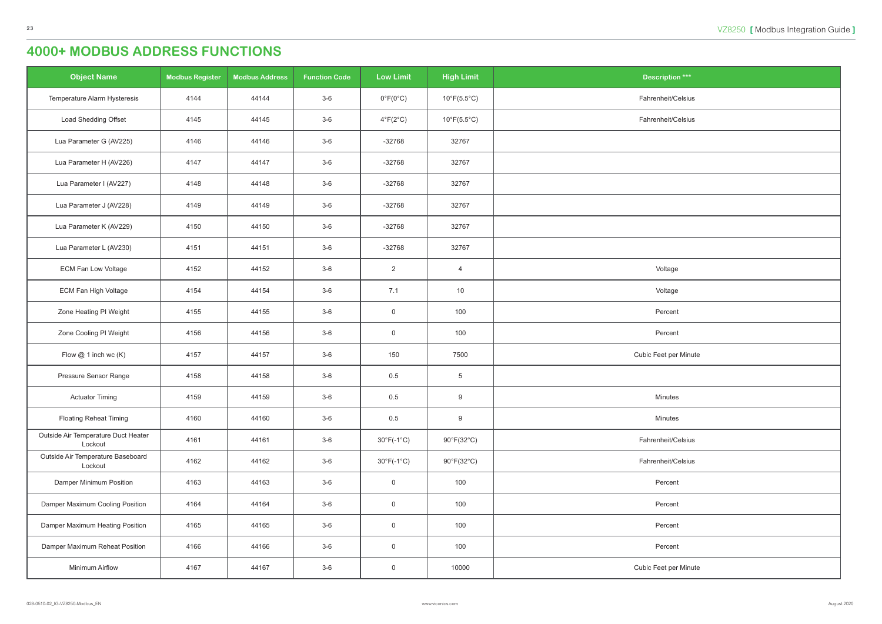| ition $***$ |
|-------------|
| it/Celsius  |
| it/Celsius  |
|             |
|             |
|             |
|             |
|             |
|             |
| age         |
| age         |
| cent        |
| cent        |
| per Minute  |
|             |
| utes        |
| utes        |
| it/Celsius  |
| it/Celsius  |
| cent        |
| cent        |
| cent        |
| cent        |
| per Minute  |

| <b>Object Name</b>                             | <b>Modbus Register</b> | <b>Modbus Address</b> | <b>Function Code</b> | <b>Low Limit</b>           | <b>High Limit</b>                | <b>Description ***</b> |
|------------------------------------------------|------------------------|-----------------------|----------------------|----------------------------|----------------------------------|------------------------|
| Temperature Alarm Hysteresis                   | 4144                   | 44144                 | $3-6$                | $0^{\circ}F(0^{\circ}C)$   | $10^{\circ}$ F(5.5 $^{\circ}$ C) | Fahrenheit/Celsius     |
| Load Shedding Offset                           | 4145                   | 44145                 | $3-6$                | $4^{\circ}F(2^{\circ}C)$   | $10^{\circ}$ F(5.5 $^{\circ}$ C) | Fahrenheit/Celsius     |
| Lua Parameter G (AV225)                        | 4146                   | 44146                 | $3-6$                | $-32768$                   | 32767                            |                        |
| Lua Parameter H (AV226)                        | 4147                   | 44147                 | $3-6$                | $-32768$                   | 32767                            |                        |
| Lua Parameter I (AV227)                        | 4148                   | 44148                 | $3-6$                | $-32768$                   | 32767                            |                        |
| Lua Parameter J (AV228)                        | 4149                   | 44149                 | $3-6$                | $-32768$                   | 32767                            |                        |
| Lua Parameter K (AV229)                        | 4150                   | 44150                 | $3-6$                | $-32768$                   | 32767                            |                        |
| Lua Parameter L (AV230)                        | 4151                   | 44151                 | $3-6$                | $-32768$                   | 32767                            |                        |
| <b>ECM Fan Low Voltage</b>                     | 4152                   | 44152                 | $3-6$                | $\overline{2}$             | $\overline{4}$                   | Voltage                |
| ECM Fan High Voltage                           | 4154                   | 44154                 | $3-6$                | 7.1                        | 10                               | Voltage                |
| Zone Heating PI Weight                         | 4155                   | 44155                 | $3-6$                | $\mathsf{O}$               | 100                              | Percent                |
| Zone Cooling PI Weight                         | 4156                   | 44156                 | $3-6$                | $\mathsf{O}$               | 100                              | Percent                |
| Flow $@$ 1 inch wc $(K)$                       | 4157                   | 44157                 | $3-6$                | 150                        | 7500                             | Cubic Feet per Minute  |
| Pressure Sensor Range                          | 4158                   | 44158                 | $3-6$                | 0.5                        | $\,$ 5 $\,$                      |                        |
| <b>Actuator Timing</b>                         | 4159                   | 44159                 | $3-6$                | 0.5                        | 9                                | Minutes                |
| <b>Floating Reheat Timing</b>                  | 4160                   | 44160                 | $3-6$                | 0.5                        | 9                                | Minutes                |
| Outside Air Temperature Duct Heater<br>Lockout | 4161                   | 44161                 | $3-6$                | $30^{\circ}F(-1^{\circ}C)$ | 90°F(32°C)                       | Fahrenheit/Celsius     |
| Outside Air Temperature Baseboard<br>Lockout   | 4162                   | 44162                 | $3-6$                | $30^{\circ}F(-1^{\circ}C)$ | 90°F(32°C)                       | Fahrenheit/Celsius     |
| Damper Minimum Position                        | 4163                   | 44163                 | $3-6$                | $\mathbf 0$                | 100                              | Percent                |
| Damper Maximum Cooling Position                | 4164                   | 44164                 | $3-6$                | $\overline{0}$             | 100                              | Percent                |
| Damper Maximum Heating Position                | 4165                   | 44165                 | $3-6$                | $\mathsf{O}$               | 100                              | Percent                |
| Damper Maximum Reheat Position                 | 4166                   | 44166                 | $3-6$                | $\mathbf 0$                | 100                              | Percent                |
| Minimum Airflow                                | 4167                   | 44167                 | $3-6$                | $\overline{0}$             | 10000                            | Cubic Feet per Minute  |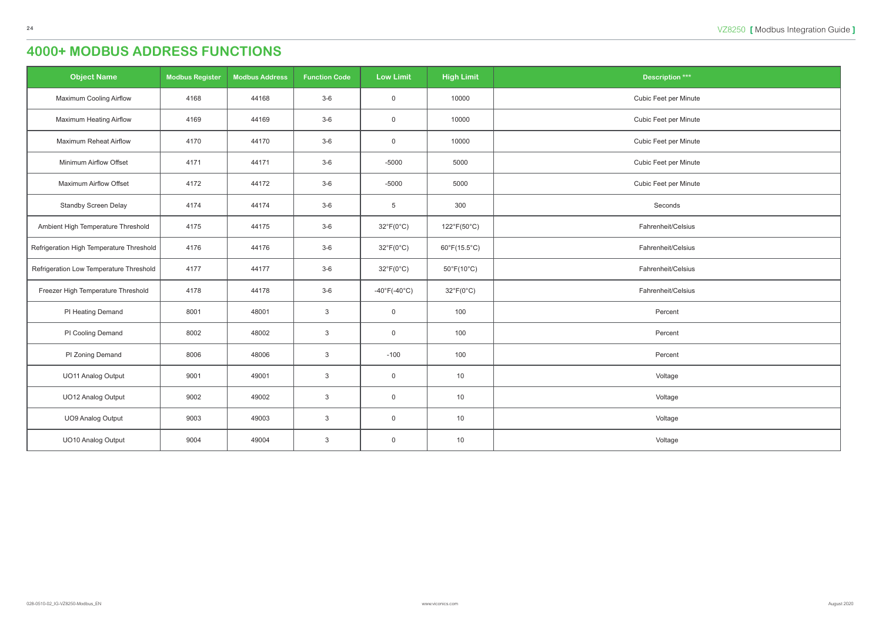| <b>Object Name</b>                       | <b>Modbus Register</b> | <b>Modbus Address</b> | <b>Function Code</b> | <b>Low Limit</b>                  | <b>High Limit</b>               | <b>Description ***</b> |
|------------------------------------------|------------------------|-----------------------|----------------------|-----------------------------------|---------------------------------|------------------------|
| <b>Maximum Cooling Airflow</b>           | 4168                   | 44168                 | $3-6$                | $\overline{0}$                    | 10000                           | Cubic Feet per Minute  |
| <b>Maximum Heating Airflow</b>           | 4169                   | 44169                 | $3-6$                | $\overline{0}$                    | 10000                           | Cubic Feet per Minute  |
| <b>Maximum Reheat Airflow</b>            | 4170                   | 44170                 | $3-6$                | $\overline{0}$                    | 10000                           | Cubic Feet per Minute  |
| Minimum Airflow Offset                   | 4171                   | 44171                 | $3-6$                | $-5000$                           | 5000                            | Cubic Feet per Minute  |
| <b>Maximum Airflow Offset</b>            | 4172                   | 44172                 | $3-6$                | $-5000$                           | 5000                            | Cubic Feet per Minute  |
| <b>Standby Screen Delay</b>              | 4174                   | 44174                 | $3-6$                | $5\phantom{.0}$                   | 300                             | Seconds                |
| Ambient High Temperature Threshold       | 4175                   | 44175                 | $3-6$                | $32^{\circ}F(0^{\circ}C)$         | 122°F(50°C)                     | Fahrenheit/Celsius     |
| Refrigeration High Temperature Threshold | 4176                   | 44176                 | $3-6$                | $32^{\circ}F(0^{\circ}C)$         | $60^{\circ}F(15.5^{\circ}C)$    | Fahrenheit/Celsius     |
| Refrigeration Low Temperature Threshold  | 4177                   | 44177                 | $3-6$                | $32^{\circ}F(0^{\circ}C)$         | $50^{\circ}$ F(10 $^{\circ}$ C) | Fahrenheit/Celsius     |
| Freezer High Temperature Threshold       | 4178                   | 44178                 | $3-6$                | $-40^{\circ}$ F( $-40^{\circ}$ C) | $32^{\circ}F(0^{\circ}C)$       | Fahrenheit/Celsius     |
| PI Heating Demand                        | 8001                   | 48001                 | $\mathbf{3}$         | $\mathsf 0$                       | 100                             | Percent                |
| PI Cooling Demand                        | 8002                   | 48002                 | $\mathbf{3}$         | $\overline{0}$                    | 100                             | Percent                |
| PI Zoning Demand                         | 8006                   | 48006                 | $\mathbf{3}$         | $-100$                            | 100                             | Percent                |
| <b>UO11 Analog Output</b>                | 9001                   | 49001                 | $\mathbf{3}$         | $\overline{0}$                    | 10                              | Voltage                |
| UO12 Analog Output                       | 9002                   | 49002                 | $\mathbf{3}$         | $\overline{0}$                    | 10                              | Voltage                |
| <b>UO9 Analog Output</b>                 | 9003                   | 49003                 | $\mathbf{3}$         | $\boldsymbol{0}$                  | 10                              | Voltage                |
| UO10 Analog Output                       | 9004                   | 49004                 | $\mathbf{3}$         | $\mathsf 0$                       | 10                              | Voltage                |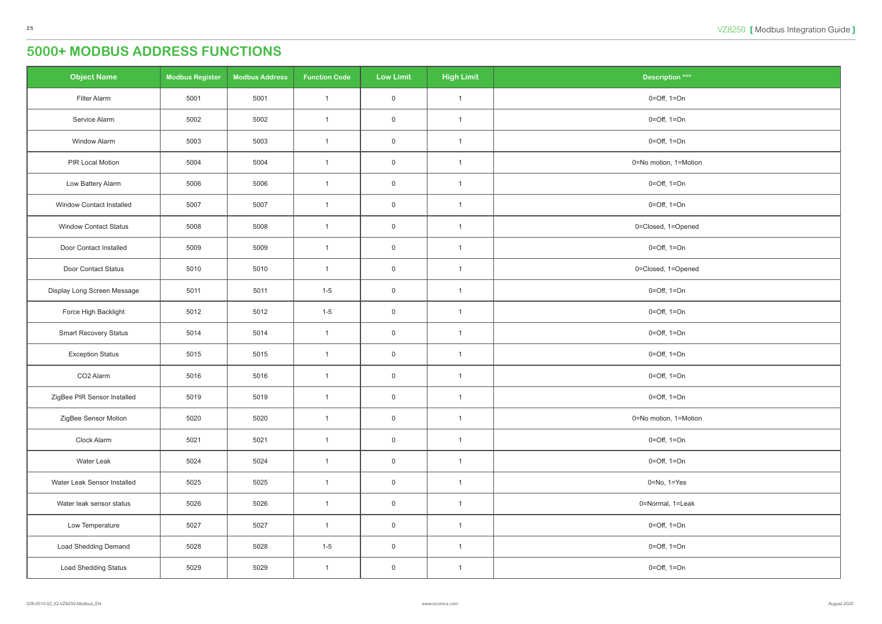<span id="page-24-0"></span>

| <b>Object Name</b>              | <b>Modbus Register</b> | <b>Modbus Address</b> | <b>Function Code</b> | <b>Low Limit</b> | <b>High Limit</b> | Description ***                 |
|---------------------------------|------------------------|-----------------------|----------------------|------------------|-------------------|---------------------------------|
| Filter Alarm                    | 5001                   | 5001                  | $\mathbf{1}$         | $\mathsf 0$      | $\overline{1}$    | $0 = \text{Off}, 1 = \text{On}$ |
| Service Alarm                   | 5002                   | 5002                  | $\mathbf{1}$         | $\mathsf 0$      | $\overline{1}$    | $0 = \text{Off}, 1 = \text{On}$ |
| Window Alarm                    | 5003                   | 5003                  | $\mathbf{1}$         | $\overline{0}$   | $\mathbf{1}$      | $0 = \text{Off}, 1 = \text{On}$ |
| PIR Local Motion                | 5004                   | 5004                  | $\overline{1}$       | $\overline{0}$   | $\mathbf{1}$      | 0=No motion, 1=Motion           |
| Low Battery Alarm               | 5006                   | 5006                  | $\mathbf{1}$         | $\overline{0}$   | $\overline{1}$    | $0 = Off$ , $1 = On$            |
| <b>Window Contact Installed</b> | 5007                   | 5007                  | $\mathbf{1}$         | $\mathsf 0$      | $\overline{1}$    | $0 = \text{Off}, 1 = \text{On}$ |
| <b>Window Contact Status</b>    | 5008                   | 5008                  | $\mathbf{1}$         | $\mathsf 0$      | $\overline{1}$    | 0=Closed, 1=Opened              |
| Door Contact Installed          | 5009                   | 5009                  | $\mathbf{1}$         | $\overline{0}$   | $\mathbf{1}$      | $0 = \text{Off}, 1 = \text{On}$ |
| Door Contact Status             | 5010                   | 5010                  | $\mathbf{1}$         | $\overline{0}$   | $\mathbf{1}$      | 0=Closed, 1=Opened              |
| Display Long Screen Message     | 5011                   | 5011                  | $1 - 5$              | $\overline{0}$   | $\overline{1}$    | $0 = \text{Off}, 1 = \text{On}$ |
| Force High Backlight            | 5012                   | 5012                  | $1 - 5$              | $\overline{0}$   | $\overline{1}$    | $0 = \text{Off}, 1 = \text{On}$ |
| <b>Smart Recovery Status</b>    | 5014                   | 5014                  | $\mathbf{1}$         | $\mathsf 0$      | $\mathbf{1}$      | $0 = \text{Off}, 1 = \text{On}$ |
| <b>Exception Status</b>         | 5015                   | 5015                  | $\mathbf{1}$         | $\overline{0}$   | $\mathbf{1}$      | $0 = \text{Off}, 1 = \text{On}$ |
| CO <sub>2</sub> Alarm           | 5016                   | 5016                  | $\mathbf{1}$         | $\overline{0}$   | $\mathbf{1}$      | $0 = \text{Off}, 1 = \text{On}$ |
| ZigBee PIR Sensor Installed     | 5019                   | 5019                  | $\mathbf{1}$         | $\overline{0}$   | $\mathbf{1}$      | $0 = \text{Off}, 1 = \text{On}$ |
| ZigBee Sensor Motion            | 5020                   | 5020                  | $\mathbf{1}$         | $\mathsf 0$      | $\overline{1}$    | 0=No motion, 1=Motion           |
| Clock Alarm                     | 5021                   | 5021                  | $\mathbf{1}$         | $\mathsf 0$      | $\overline{1}$    | $0 = \text{Off}, 1 = \text{On}$ |
| Water Leak                      | 5024                   | 5024                  | $\mathbf{1}$         | $\mathbf 0$      | $\mathbf{1}$      | $0 = \text{Off}, 1 = \text{On}$ |
| Water Leak Sensor Installed     | 5025                   | 5025                  | $\mathbf{1}$         | $\mathsf 0$      | $\overline{1}$    | $0 = No, 1 = Yes$               |
| Water leak sensor status        | 5026                   | 5026                  | $\mathbf{1}$         | $\mathsf 0$      | $\mathbf{1}$      | 0=Normal, 1=Leak                |
| Low Temperature                 | 5027                   | 5027                  | $\mathbf{1}$         | $\mathsf 0$      | $\mathbf{1}$      | $0 = \text{Off}, 1 = \text{On}$ |
| <b>Load Shedding Demand</b>     | 5028                   | 5028                  | $1 - 5$              | $\mathsf 0$      | $\mathbf{1}$      | $0 = \text{Off}, 1 = \text{On}$ |
| <b>Load Shedding Status</b>     | 5029                   | 5029                  | $\mathbf{1}$         | $\overline{0}$   | $\mathbf{1}$      | $0 = \text{Off}, 1 = \text{On}$ |